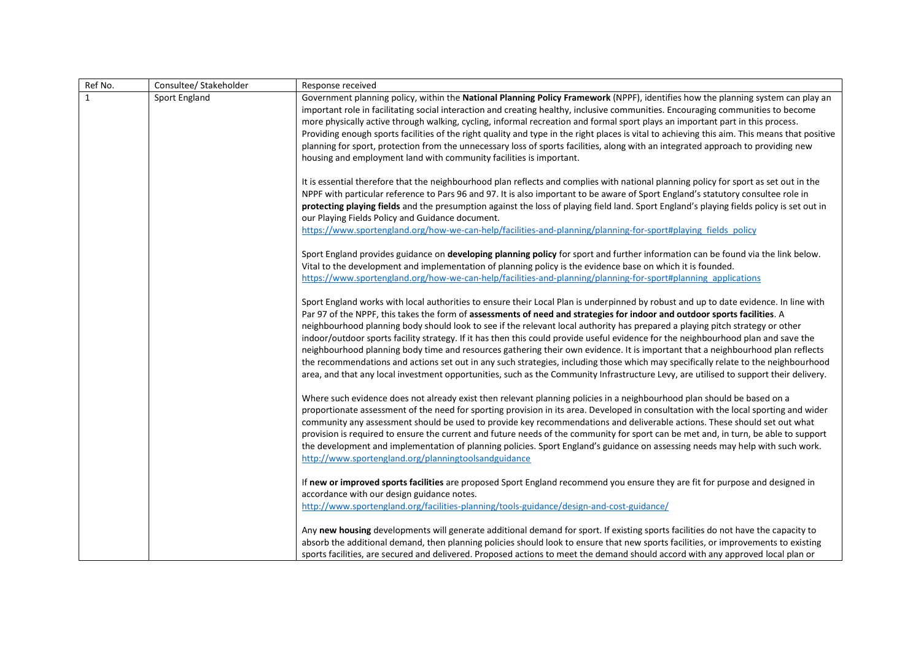| Ref No.      | Consultee/ Stakeholder | Response received                                                                                                                                                                                                                                                                                                                                                                                                                                                                                                                                                                                                                                                                                                                                                                                                                                                                                                                                          |
|--------------|------------------------|------------------------------------------------------------------------------------------------------------------------------------------------------------------------------------------------------------------------------------------------------------------------------------------------------------------------------------------------------------------------------------------------------------------------------------------------------------------------------------------------------------------------------------------------------------------------------------------------------------------------------------------------------------------------------------------------------------------------------------------------------------------------------------------------------------------------------------------------------------------------------------------------------------------------------------------------------------|
| $\mathbf{1}$ | Sport England          | Government planning policy, within the National Planning Policy Framework (NPPF), identifies how the planning system can play an<br>important role in facilitating social interaction and creating healthy, inclusive communities. Encouraging communities to become<br>more physically active through walking, cycling, informal recreation and formal sport plays an important part in this process.<br>Providing enough sports facilities of the right quality and type in the right places is vital to achieving this aim. This means that positive<br>planning for sport, protection from the unnecessary loss of sports facilities, along with an integrated approach to providing new<br>housing and employment land with community facilities is important.                                                                                                                                                                                        |
|              |                        | It is essential therefore that the neighbourhood plan reflects and complies with national planning policy for sport as set out in the<br>NPPF with particular reference to Pars 96 and 97. It is also important to be aware of Sport England's statutory consultee role in<br>protecting playing fields and the presumption against the loss of playing field land. Sport England's playing fields policy is set out in<br>our Playing Fields Policy and Guidance document.<br>https://www.sportengland.org/how-we-can-help/facilities-and-planning/planning-for-sport#playing fields policy                                                                                                                                                                                                                                                                                                                                                               |
|              |                        | Sport England provides guidance on developing planning policy for sport and further information can be found via the link below.<br>Vital to the development and implementation of planning policy is the evidence base on which it is founded.<br>https://www.sportengland.org/how-we-can-help/facilities-and-planning/planning-for-sport#planning applications                                                                                                                                                                                                                                                                                                                                                                                                                                                                                                                                                                                           |
|              |                        | Sport England works with local authorities to ensure their Local Plan is underpinned by robust and up to date evidence. In line with<br>Par 97 of the NPPF, this takes the form of assessments of need and strategies for indoor and outdoor sports facilities. A<br>neighbourhood planning body should look to see if the relevant local authority has prepared a playing pitch strategy or other<br>indoor/outdoor sports facility strategy. If it has then this could provide useful evidence for the neighbourhood plan and save the<br>neighbourhood planning body time and resources gathering their own evidence. It is important that a neighbourhood plan reflects<br>the recommendations and actions set out in any such strategies, including those which may specifically relate to the neighbourhood<br>area, and that any local investment opportunities, such as the Community Infrastructure Levy, are utilised to support their delivery. |
|              |                        | Where such evidence does not already exist then relevant planning policies in a neighbourhood plan should be based on a<br>proportionate assessment of the need for sporting provision in its area. Developed in consultation with the local sporting and wider<br>community any assessment should be used to provide key recommendations and deliverable actions. These should set out what<br>provision is required to ensure the current and future needs of the community for sport can be met and, in turn, be able to support<br>the development and implementation of planning policies. Sport England's guidance on assessing needs may help with such work.<br>http://www.sportengland.org/planningtoolsandguidance                                                                                                                                                                                                                               |
|              |                        | If new or improved sports facilities are proposed Sport England recommend you ensure they are fit for purpose and designed in<br>accordance with our design guidance notes.<br>http://www.sportengland.org/facilities-planning/tools-guidance/design-and-cost-guidance/                                                                                                                                                                                                                                                                                                                                                                                                                                                                                                                                                                                                                                                                                    |
|              |                        | Any new housing developments will generate additional demand for sport. If existing sports facilities do not have the capacity to<br>absorb the additional demand, then planning policies should look to ensure that new sports facilities, or improvements to existing<br>sports facilities, are secured and delivered. Proposed actions to meet the demand should accord with any approved local plan or                                                                                                                                                                                                                                                                                                                                                                                                                                                                                                                                                 |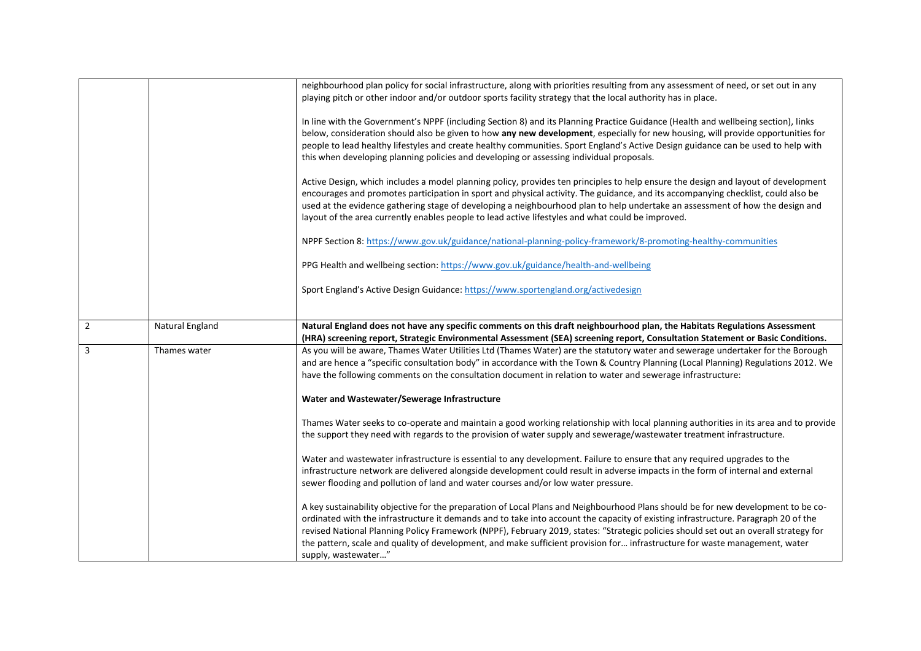|                |                 | neighbourhood plan policy for social infrastructure, along with priorities resulting from any assessment of need, or set out in any<br>playing pitch or other indoor and/or outdoor sports facility strategy that the local authority has in place.                                                                                                                                                                                                                                                           |
|----------------|-----------------|---------------------------------------------------------------------------------------------------------------------------------------------------------------------------------------------------------------------------------------------------------------------------------------------------------------------------------------------------------------------------------------------------------------------------------------------------------------------------------------------------------------|
|                |                 | In line with the Government's NPPF (including Section 8) and its Planning Practice Guidance (Health and wellbeing section), links<br>below, consideration should also be given to how any new development, especially for new housing, will provide opportunities for<br>people to lead healthy lifestyles and create healthy communities. Sport England's Active Design guidance can be used to help with<br>this when developing planning policies and developing or assessing individual proposals.        |
|                |                 | Active Design, which includes a model planning policy, provides ten principles to help ensure the design and layout of development<br>encourages and promotes participation in sport and physical activity. The guidance, and its accompanying checklist, could also be<br>used at the evidence gathering stage of developing a neighbourhood plan to help undertake an assessment of how the design and<br>layout of the area currently enables people to lead active lifestyles and what could be improved. |
|                |                 | NPPF Section 8: https://www.gov.uk/guidance/national-planning-policy-framework/8-promoting-healthy-communities                                                                                                                                                                                                                                                                                                                                                                                                |
|                |                 | PPG Health and wellbeing section: https://www.gov.uk/guidance/health-and-wellbeing                                                                                                                                                                                                                                                                                                                                                                                                                            |
|                |                 | Sport England's Active Design Guidance: https://www.sportengland.org/activedesign                                                                                                                                                                                                                                                                                                                                                                                                                             |
| $\overline{2}$ | Natural England | Natural England does not have any specific comments on this draft neighbourhood plan, the Habitats Regulations Assessment<br>(HRA) screening report, Strategic Environmental Assessment (SEA) screening report, Consultation Statement or Basic Conditions.                                                                                                                                                                                                                                                   |
| $\overline{3}$ | Thames water    | As you will be aware, Thames Water Utilities Ltd (Thames Water) are the statutory water and sewerage undertaker for the Borough<br>and are hence a "specific consultation body" in accordance with the Town & Country Planning (Local Planning) Regulations 2012. We<br>have the following comments on the consultation document in relation to water and sewerage infrastructure:                                                                                                                            |
|                |                 | Water and Wastewater/Sewerage Infrastructure                                                                                                                                                                                                                                                                                                                                                                                                                                                                  |
|                |                 | Thames Water seeks to co-operate and maintain a good working relationship with local planning authorities in its area and to provide<br>the support they need with regards to the provision of water supply and sewerage/wastewater treatment infrastructure.                                                                                                                                                                                                                                                 |
|                |                 | Water and wastewater infrastructure is essential to any development. Failure to ensure that any required upgrades to the<br>infrastructure network are delivered alongside development could result in adverse impacts in the form of internal and external<br>sewer flooding and pollution of land and water courses and/or low water pressure.                                                                                                                                                              |
|                |                 | A key sustainability objective for the preparation of Local Plans and Neighbourhood Plans should be for new development to be co-<br>ordinated with the infrastructure it demands and to take into account the capacity of existing infrastructure. Paragraph 20 of the<br>revised National Planning Policy Framework (NPPF), February 2019, states: "Strategic policies should set out an overall strategy for                                                                                               |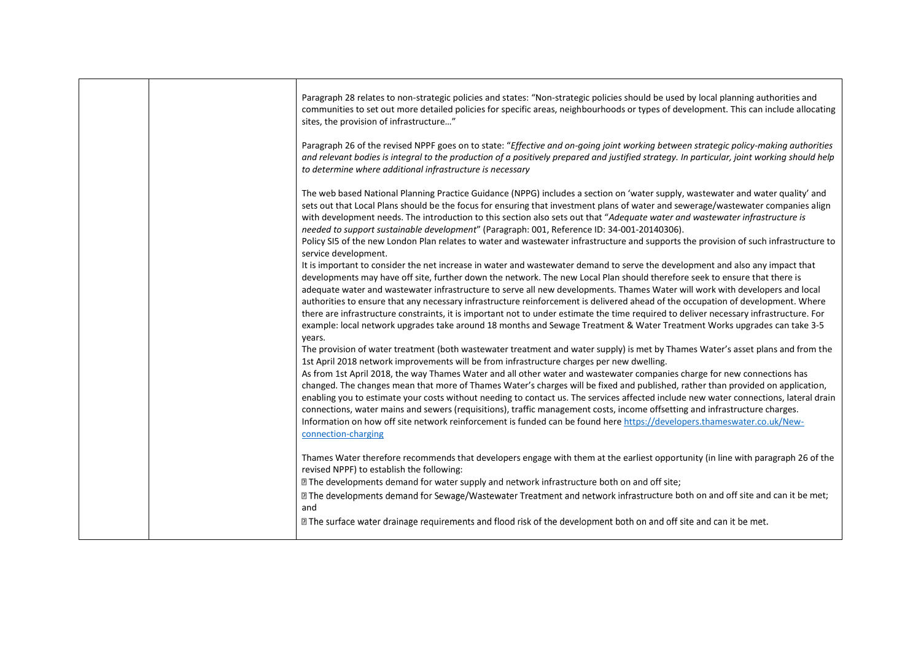|  | Paragraph 28 relates to non-strategic policies and states: "Non-strategic policies should be used by local planning authorities and<br>communities to set out more detailed policies for specific areas, neighbourhoods or types of development. This can include allocating<br>sites, the provision of infrastructure"                                                                                                                                                                                                                                                                                                                                                                                                                                                                                                                                                                                                         |
|--|---------------------------------------------------------------------------------------------------------------------------------------------------------------------------------------------------------------------------------------------------------------------------------------------------------------------------------------------------------------------------------------------------------------------------------------------------------------------------------------------------------------------------------------------------------------------------------------------------------------------------------------------------------------------------------------------------------------------------------------------------------------------------------------------------------------------------------------------------------------------------------------------------------------------------------|
|  | Paragraph 26 of the revised NPPF goes on to state: "Effective and on-going joint working between strategic policy-making authorities<br>and relevant bodies is integral to the production of a positively prepared and justified strategy. In particular, joint working should help<br>to determine where additional infrastructure is necessary                                                                                                                                                                                                                                                                                                                                                                                                                                                                                                                                                                                |
|  | The web based National Planning Practice Guidance (NPPG) includes a section on 'water supply, wastewater and water quality' and<br>sets out that Local Plans should be the focus for ensuring that investment plans of water and sewerage/wastewater companies align<br>with development needs. The introduction to this section also sets out that "Adequate water and wastewater infrastructure is<br>needed to support sustainable development" (Paragraph: 001, Reference ID: 34-001-20140306).<br>Policy SI5 of the new London Plan relates to water and wastewater infrastructure and supports the provision of such infrastructure to<br>service development.                                                                                                                                                                                                                                                            |
|  | It is important to consider the net increase in water and wastewater demand to serve the development and also any impact that<br>developments may have off site, further down the network. The new Local Plan should therefore seek to ensure that there is<br>adequate water and wastewater infrastructure to serve all new developments. Thames Water will work with developers and local<br>authorities to ensure that any necessary infrastructure reinforcement is delivered ahead of the occupation of development. Where<br>there are infrastructure constraints, it is important not to under estimate the time required to deliver necessary infrastructure. For<br>example: local network upgrades take around 18 months and Sewage Treatment & Water Treatment Works upgrades can take 3-5                                                                                                                           |
|  | years.<br>The provision of water treatment (both wastewater treatment and water supply) is met by Thames Water's asset plans and from the<br>1st April 2018 network improvements will be from infrastructure charges per new dwelling.<br>As from 1st April 2018, the way Thames Water and all other water and wastewater companies charge for new connections has<br>changed. The changes mean that more of Thames Water's charges will be fixed and published, rather than provided on application,<br>enabling you to estimate your costs without needing to contact us. The services affected include new water connections, lateral drain<br>connections, water mains and sewers (requisitions), traffic management costs, income offsetting and infrastructure charges.<br>Information on how off site network reinforcement is funded can be found here https://developers.thameswater.co.uk/New-<br>connection-charging |
|  | Thames Water therefore recommends that developers engage with them at the earliest opportunity (in line with paragraph 26 of the<br>revised NPPF) to establish the following:<br>I The developments demand for water supply and network infrastructure both on and off site;<br>[2] The developments demand for Sewage/Wastewater Treatment and network infrastructure both on and off site and can it be met;                                                                                                                                                                                                                                                                                                                                                                                                                                                                                                                  |
|  | and<br>I The surface water drainage requirements and flood risk of the development both on and off site and can it be met.                                                                                                                                                                                                                                                                                                                                                                                                                                                                                                                                                                                                                                                                                                                                                                                                      |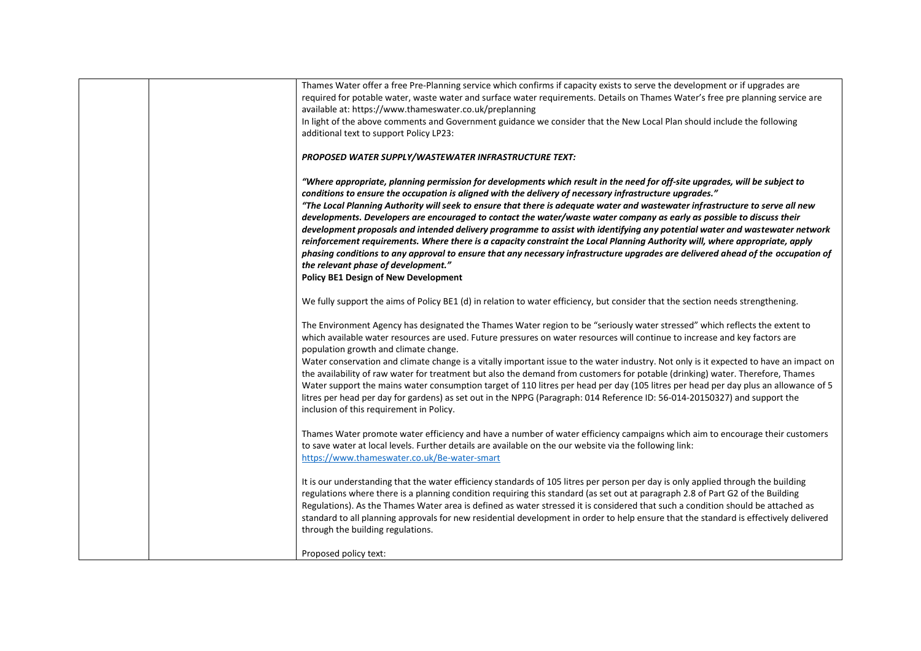| Thames Water offer a free Pre-Planning service which confirms if capacity exists to serve the development or if upgrades are                                                                                                                                                                                                                                                                                                                                                                                                                                                                                                                                                                                                                                                                                                                                                                                                                                                               |
|--------------------------------------------------------------------------------------------------------------------------------------------------------------------------------------------------------------------------------------------------------------------------------------------------------------------------------------------------------------------------------------------------------------------------------------------------------------------------------------------------------------------------------------------------------------------------------------------------------------------------------------------------------------------------------------------------------------------------------------------------------------------------------------------------------------------------------------------------------------------------------------------------------------------------------------------------------------------------------------------|
| required for potable water, waste water and surface water requirements. Details on Thames Water's free pre planning service are                                                                                                                                                                                                                                                                                                                                                                                                                                                                                                                                                                                                                                                                                                                                                                                                                                                            |
| available at: https://www.thameswater.co.uk/preplanning                                                                                                                                                                                                                                                                                                                                                                                                                                                                                                                                                                                                                                                                                                                                                                                                                                                                                                                                    |
| In light of the above comments and Government guidance we consider that the New Local Plan should include the following                                                                                                                                                                                                                                                                                                                                                                                                                                                                                                                                                                                                                                                                                                                                                                                                                                                                    |
| additional text to support Policy LP23:                                                                                                                                                                                                                                                                                                                                                                                                                                                                                                                                                                                                                                                                                                                                                                                                                                                                                                                                                    |
|                                                                                                                                                                                                                                                                                                                                                                                                                                                                                                                                                                                                                                                                                                                                                                                                                                                                                                                                                                                            |
| PROPOSED WATER SUPPLY/WASTEWATER INFRASTRUCTURE TEXT:                                                                                                                                                                                                                                                                                                                                                                                                                                                                                                                                                                                                                                                                                                                                                                                                                                                                                                                                      |
| "Where appropriate, planning permission for developments which result in the need for off-site upgrades, will be subject to<br>conditions to ensure the occupation is aligned with the delivery of necessary infrastructure upgrades."<br>"The Local Planning Authority will seek to ensure that there is adequate water and wastewater infrastructure to serve all new<br>developments. Developers are encouraged to contact the water/waste water company as early as possible to discuss their<br>development proposals and intended delivery programme to assist with identifying any potential water and wastewater network<br>reinforcement requirements. Where there is a capacity constraint the Local Planning Authority will, where appropriate, apply<br>phasing conditions to any approval to ensure that any necessary infrastructure upgrades are delivered ahead of the occupation of<br>the relevant phase of development."<br><b>Policy BE1 Design of New Development</b> |
|                                                                                                                                                                                                                                                                                                                                                                                                                                                                                                                                                                                                                                                                                                                                                                                                                                                                                                                                                                                            |
| We fully support the aims of Policy BE1 (d) in relation to water efficiency, but consider that the section needs strengthening.                                                                                                                                                                                                                                                                                                                                                                                                                                                                                                                                                                                                                                                                                                                                                                                                                                                            |
|                                                                                                                                                                                                                                                                                                                                                                                                                                                                                                                                                                                                                                                                                                                                                                                                                                                                                                                                                                                            |
| The Environment Agency has designated the Thames Water region to be "seriously water stressed" which reflects the extent to                                                                                                                                                                                                                                                                                                                                                                                                                                                                                                                                                                                                                                                                                                                                                                                                                                                                |
| which available water resources are used. Future pressures on water resources will continue to increase and key factors are                                                                                                                                                                                                                                                                                                                                                                                                                                                                                                                                                                                                                                                                                                                                                                                                                                                                |
| population growth and climate change.                                                                                                                                                                                                                                                                                                                                                                                                                                                                                                                                                                                                                                                                                                                                                                                                                                                                                                                                                      |
| Water conservation and climate change is a vitally important issue to the water industry. Not only is it expected to have an impact on                                                                                                                                                                                                                                                                                                                                                                                                                                                                                                                                                                                                                                                                                                                                                                                                                                                     |
| the availability of raw water for treatment but also the demand from customers for potable (drinking) water. Therefore, Thames                                                                                                                                                                                                                                                                                                                                                                                                                                                                                                                                                                                                                                                                                                                                                                                                                                                             |
| Water support the mains water consumption target of 110 litres per head per day (105 litres per head per day plus an allowance of 5                                                                                                                                                                                                                                                                                                                                                                                                                                                                                                                                                                                                                                                                                                                                                                                                                                                        |
| litres per head per day for gardens) as set out in the NPPG (Paragraph: 014 Reference ID: 56-014-20150327) and support the                                                                                                                                                                                                                                                                                                                                                                                                                                                                                                                                                                                                                                                                                                                                                                                                                                                                 |
| inclusion of this requirement in Policy.                                                                                                                                                                                                                                                                                                                                                                                                                                                                                                                                                                                                                                                                                                                                                                                                                                                                                                                                                   |
|                                                                                                                                                                                                                                                                                                                                                                                                                                                                                                                                                                                                                                                                                                                                                                                                                                                                                                                                                                                            |
| Thames Water promote water efficiency and have a number of water efficiency campaigns which aim to encourage their customers                                                                                                                                                                                                                                                                                                                                                                                                                                                                                                                                                                                                                                                                                                                                                                                                                                                               |
| to save water at local levels. Further details are available on the our website via the following link:                                                                                                                                                                                                                                                                                                                                                                                                                                                                                                                                                                                                                                                                                                                                                                                                                                                                                    |
| https://www.thameswater.co.uk/Be-water-smart                                                                                                                                                                                                                                                                                                                                                                                                                                                                                                                                                                                                                                                                                                                                                                                                                                                                                                                                               |
|                                                                                                                                                                                                                                                                                                                                                                                                                                                                                                                                                                                                                                                                                                                                                                                                                                                                                                                                                                                            |
| It is our understanding that the water efficiency standards of 105 litres per person per day is only applied through the building                                                                                                                                                                                                                                                                                                                                                                                                                                                                                                                                                                                                                                                                                                                                                                                                                                                          |
| regulations where there is a planning condition requiring this standard (as set out at paragraph 2.8 of Part G2 of the Building                                                                                                                                                                                                                                                                                                                                                                                                                                                                                                                                                                                                                                                                                                                                                                                                                                                            |
| Regulations). As the Thames Water area is defined as water stressed it is considered that such a condition should be attached as                                                                                                                                                                                                                                                                                                                                                                                                                                                                                                                                                                                                                                                                                                                                                                                                                                                           |
|                                                                                                                                                                                                                                                                                                                                                                                                                                                                                                                                                                                                                                                                                                                                                                                                                                                                                                                                                                                            |
| standard to all planning approvals for new residential development in order to help ensure that the standard is effectively delivered                                                                                                                                                                                                                                                                                                                                                                                                                                                                                                                                                                                                                                                                                                                                                                                                                                                      |
| through the building regulations.                                                                                                                                                                                                                                                                                                                                                                                                                                                                                                                                                                                                                                                                                                                                                                                                                                                                                                                                                          |
|                                                                                                                                                                                                                                                                                                                                                                                                                                                                                                                                                                                                                                                                                                                                                                                                                                                                                                                                                                                            |
| Proposed policy text:                                                                                                                                                                                                                                                                                                                                                                                                                                                                                                                                                                                                                                                                                                                                                                                                                                                                                                                                                                      |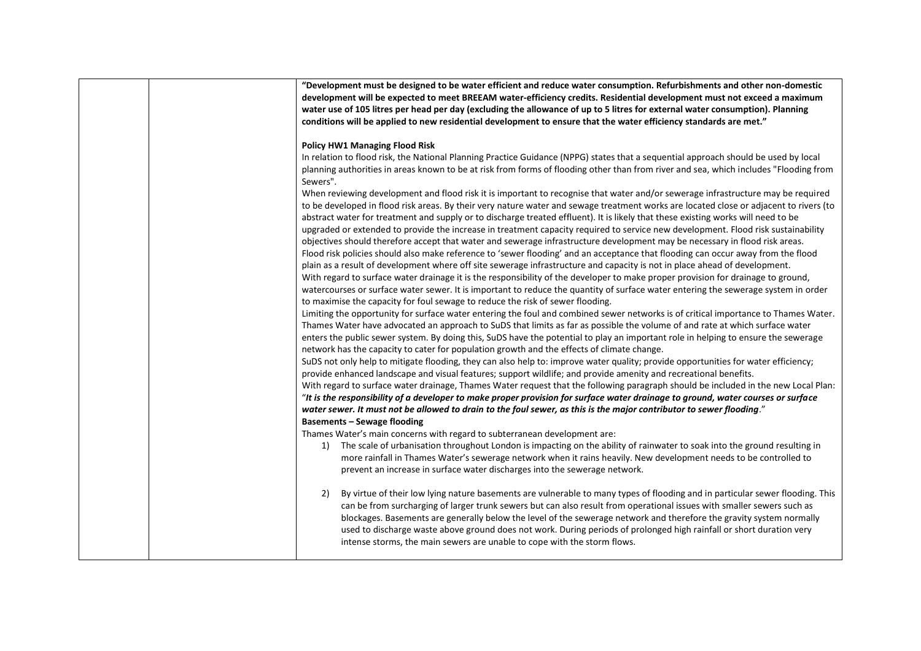|  | "Development must be designed to be water efficient and reduce water consumption. Refurbishments and other non-domestic                |
|--|----------------------------------------------------------------------------------------------------------------------------------------|
|  | development will be expected to meet BREEAM water-efficiency credits. Residential development must not exceed a maximum                |
|  | water use of 105 litres per head per day (excluding the allowance of up to 5 litres for external water consumption). Planning          |
|  | conditions will be applied to new residential development to ensure that the water efficiency standards are met."                      |
|  |                                                                                                                                        |
|  | <b>Policy HW1 Managing Flood Risk</b>                                                                                                  |
|  | In relation to flood risk, the National Planning Practice Guidance (NPPG) states that a sequential approach should be used by local    |
|  | planning authorities in areas known to be at risk from forms of flooding other than from river and sea, which includes "Flooding from  |
|  | Sewers".                                                                                                                               |
|  | When reviewing development and flood risk it is important to recognise that water and/or sewerage infrastructure may be required       |
|  | to be developed in flood risk areas. By their very nature water and sewage treatment works are located close or adjacent to rivers (to |
|  | abstract water for treatment and supply or to discharge treated effluent). It is likely that these existing works will need to be      |
|  | upgraded or extended to provide the increase in treatment capacity required to service new development. Flood risk sustainability      |
|  | objectives should therefore accept that water and sewerage infrastructure development may be necessary in flood risk areas.            |
|  | Flood risk policies should also make reference to 'sewer flooding' and an acceptance that flooding can occur away from the flood       |
|  | plain as a result of development where off site sewerage infrastructure and capacity is not in place ahead of development.             |
|  | With regard to surface water drainage it is the responsibility of the developer to make proper provision for drainage to ground,       |
|  | watercourses or surface water sewer. It is important to reduce the quantity of surface water entering the sewerage system in order     |
|  | to maximise the capacity for foul sewage to reduce the risk of sewer flooding.                                                         |
|  | Limiting the opportunity for surface water entering the foul and combined sewer networks is of critical importance to Thames Water.    |
|  | Thames Water have advocated an approach to SuDS that limits as far as possible the volume of and rate at which surface water           |
|  | enters the public sewer system. By doing this, SuDS have the potential to play an important role in helping to ensure the sewerage     |
|  | network has the capacity to cater for population growth and the effects of climate change.                                             |
|  | SuDS not only help to mitigate flooding, they can also help to: improve water quality; provide opportunities for water efficiency;     |
|  | provide enhanced landscape and visual features; support wildlife; and provide amenity and recreational benefits.                       |
|  | With regard to surface water drainage, Thames Water request that the following paragraph should be included in the new Local Plan:     |
|  | "It is the responsibility of a developer to make proper provision for surface water drainage to ground, water courses or surface       |
|  | water sewer. It must not be allowed to drain to the foul sewer, as this is the major contributor to sewer flooding."                   |
|  | <b>Basements - Sewage flooding</b>                                                                                                     |
|  | Thames Water's main concerns with regard to subterranean development are:                                                              |
|  | The scale of urbanisation throughout London is impacting on the ability of rainwater to soak into the ground resulting in<br>1)        |
|  | more rainfall in Thames Water's sewerage network when it rains heavily. New development needs to be controlled to                      |
|  | prevent an increase in surface water discharges into the sewerage network.                                                             |
|  |                                                                                                                                        |
|  | By virtue of their low lying nature basements are vulnerable to many types of flooding and in particular sewer flooding. This<br>2)    |
|  | can be from surcharging of larger trunk sewers but can also result from operational issues with smaller sewers such as                 |
|  | blockages. Basements are generally below the level of the sewerage network and therefore the gravity system normally                   |
|  | used to discharge waste above ground does not work. During periods of prolonged high rainfall or short duration very                   |
|  | intense storms, the main sewers are unable to cope with the storm flows.                                                               |
|  |                                                                                                                                        |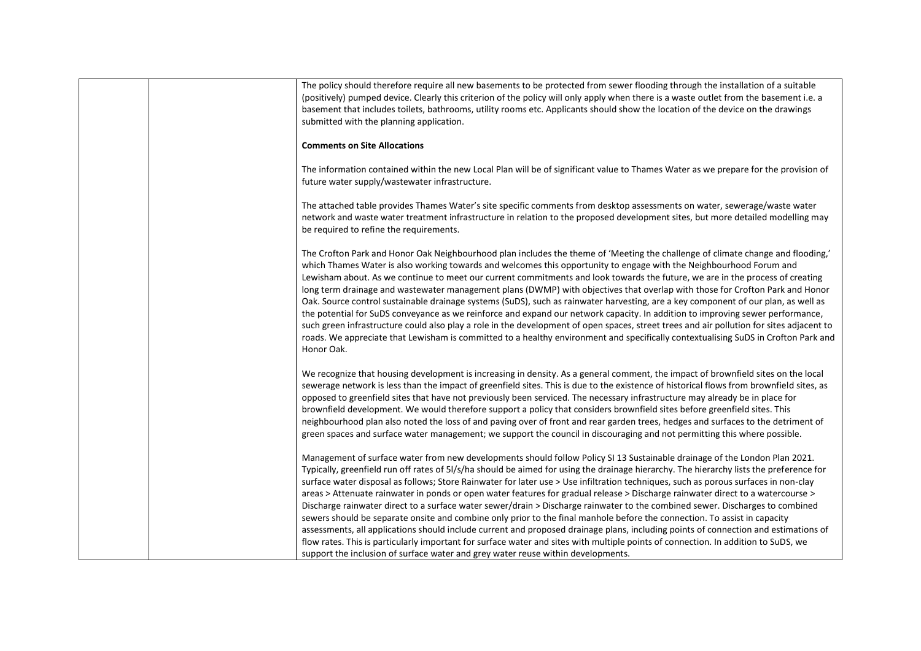| The policy should therefore require all new basements to be protected from sewer flooding through the installation of a suitable<br>(positively) pumped device. Clearly this criterion of the policy will only apply when there is a waste outlet from the basement i.e. a<br>basement that includes toilets, bathrooms, utility rooms etc. Applicants should show the location of the device on the drawings<br>submitted with the planning application.                                                                                                                                                                                                                                                                                                                                                                                                                                                                                                                                                                                                                                                                                                                      |
|--------------------------------------------------------------------------------------------------------------------------------------------------------------------------------------------------------------------------------------------------------------------------------------------------------------------------------------------------------------------------------------------------------------------------------------------------------------------------------------------------------------------------------------------------------------------------------------------------------------------------------------------------------------------------------------------------------------------------------------------------------------------------------------------------------------------------------------------------------------------------------------------------------------------------------------------------------------------------------------------------------------------------------------------------------------------------------------------------------------------------------------------------------------------------------|
| <b>Comments on Site Allocations</b>                                                                                                                                                                                                                                                                                                                                                                                                                                                                                                                                                                                                                                                                                                                                                                                                                                                                                                                                                                                                                                                                                                                                            |
| The information contained within the new Local Plan will be of significant value to Thames Water as we prepare for the provision of<br>future water supply/wastewater infrastructure.                                                                                                                                                                                                                                                                                                                                                                                                                                                                                                                                                                                                                                                                                                                                                                                                                                                                                                                                                                                          |
| The attached table provides Thames Water's site specific comments from desktop assessments on water, sewerage/waste water<br>network and waste water treatment infrastructure in relation to the proposed development sites, but more detailed modelling may<br>be required to refine the requirements.                                                                                                                                                                                                                                                                                                                                                                                                                                                                                                                                                                                                                                                                                                                                                                                                                                                                        |
| The Crofton Park and Honor Oak Neighbourhood plan includes the theme of 'Meeting the challenge of climate change and flooding,'<br>which Thames Water is also working towards and welcomes this opportunity to engage with the Neighbourhood Forum and<br>Lewisham about. As we continue to meet our current commitments and look towards the future, we are in the process of creating<br>long term drainage and wastewater management plans (DWMP) with objectives that overlap with those for Crofton Park and Honor<br>Oak. Source control sustainable drainage systems (SuDS), such as rainwater harvesting, are a key component of our plan, as well as<br>the potential for SuDS conveyance as we reinforce and expand our network capacity. In addition to improving sewer performance,<br>such green infrastructure could also play a role in the development of open spaces, street trees and air pollution for sites adjacent to<br>roads. We appreciate that Lewisham is committed to a healthy environment and specifically contextualising SuDS in Crofton Park and<br>Honor Oak.                                                                                |
| We recognize that housing development is increasing in density. As a general comment, the impact of brownfield sites on the local<br>sewerage network is less than the impact of greenfield sites. This is due to the existence of historical flows from brownfield sites, as<br>opposed to greenfield sites that have not previously been serviced. The necessary infrastructure may already be in place for<br>brownfield development. We would therefore support a policy that considers brownfield sites before greenfield sites. This<br>neighbourhood plan also noted the loss of and paving over of front and rear garden trees, hedges and surfaces to the detriment of<br>green spaces and surface water management; we support the council in discouraging and not permitting this where possible.                                                                                                                                                                                                                                                                                                                                                                   |
| Management of surface water from new developments should follow Policy SI 13 Sustainable drainage of the London Plan 2021.<br>Typically, greenfield run off rates of 5I/s/ha should be aimed for using the drainage hierarchy. The hierarchy lists the preference for<br>surface water disposal as follows; Store Rainwater for later use > Use infiltration techniques, such as porous surfaces in non-clay<br>areas > Attenuate rainwater in ponds or open water features for gradual release > Discharge rainwater direct to a watercourse ><br>Discharge rainwater direct to a surface water sewer/drain > Discharge rainwater to the combined sewer. Discharges to combined<br>sewers should be separate onsite and combine only prior to the final manhole before the connection. To assist in capacity<br>assessments, all applications should include current and proposed drainage plans, including points of connection and estimations of<br>flow rates. This is particularly important for surface water and sites with multiple points of connection. In addition to SuDS, we<br>support the inclusion of surface water and grey water reuse within developments. |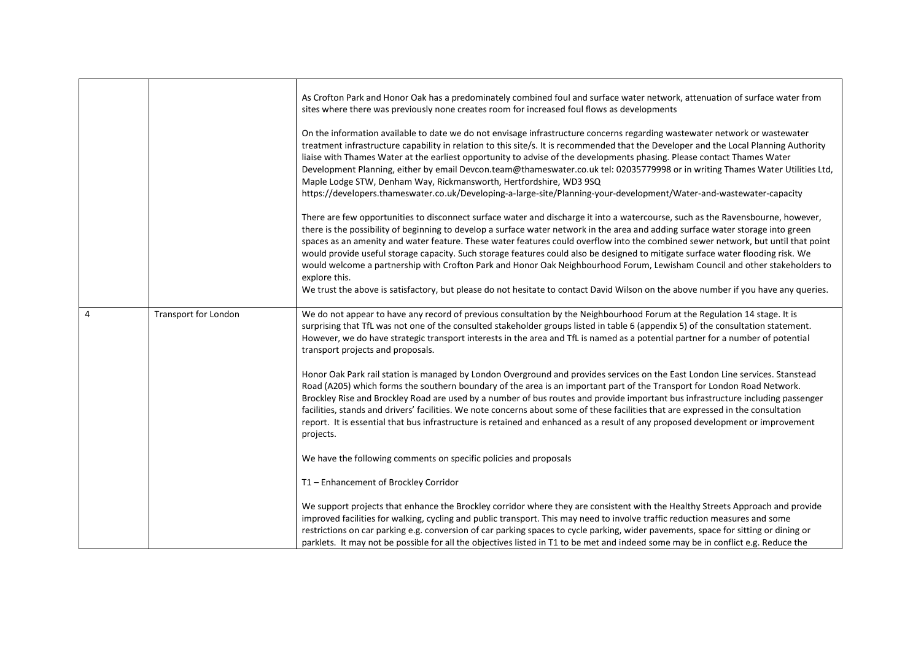|                |                      | As Crofton Park and Honor Oak has a predominately combined foul and surface water network, attenuation of surface water from<br>sites where there was previously none creates room for increased foul flows as developments<br>On the information available to date we do not envisage infrastructure concerns regarding wastewater network or wastewater<br>treatment infrastructure capability in relation to this site/s. It is recommended that the Developer and the Local Planning Authority                                                                                                                                                                                          |
|----------------|----------------------|---------------------------------------------------------------------------------------------------------------------------------------------------------------------------------------------------------------------------------------------------------------------------------------------------------------------------------------------------------------------------------------------------------------------------------------------------------------------------------------------------------------------------------------------------------------------------------------------------------------------------------------------------------------------------------------------|
|                |                      | liaise with Thames Water at the earliest opportunity to advise of the developments phasing. Please contact Thames Water<br>Development Planning, either by email Devcon.team@thameswater.co.uk tel: 02035779998 or in writing Thames Water Utilities Ltd,<br>Maple Lodge STW, Denham Way, Rickmansworth, Hertfordshire, WD3 9SQ<br>https://developers.thameswater.co.uk/Developing-a-large-site/Planning-your-development/Water-and-wastewater-capacity                                                                                                                                                                                                                                     |
|                |                      | There are few opportunities to disconnect surface water and discharge it into a watercourse, such as the Ravensbourne, however,<br>there is the possibility of beginning to develop a surface water network in the area and adding surface water storage into green<br>spaces as an amenity and water feature. These water features could overflow into the combined sewer network, but until that point<br>would provide useful storage capacity. Such storage features could also be designed to mitigate surface water flooding risk. We<br>would welcome a partnership with Crofton Park and Honor Oak Neighbourhood Forum, Lewisham Council and other stakeholders to<br>explore this. |
|                |                      | We trust the above is satisfactory, but please do not hesitate to contact David Wilson on the above number if you have any queries.                                                                                                                                                                                                                                                                                                                                                                                                                                                                                                                                                         |
| $\overline{4}$ | Transport for London | We do not appear to have any record of previous consultation by the Neighbourhood Forum at the Regulation 14 stage. It is<br>surprising that TfL was not one of the consulted stakeholder groups listed in table 6 (appendix 5) of the consultation statement.<br>However, we do have strategic transport interests in the area and TfL is named as a potential partner for a number of potential<br>transport projects and proposals.                                                                                                                                                                                                                                                      |
|                |                      | Honor Oak Park rail station is managed by London Overground and provides services on the East London Line services. Stanstead<br>Road (A205) which forms the southern boundary of the area is an important part of the Transport for London Road Network.<br>Brockley Rise and Brockley Road are used by a number of bus routes and provide important bus infrastructure including passenger<br>facilities, stands and drivers' facilities. We note concerns about some of these facilities that are expressed in the consultation<br>report. It is essential that bus infrastructure is retained and enhanced as a result of any proposed development or improvement<br>projects.          |
|                |                      | We have the following comments on specific policies and proposals                                                                                                                                                                                                                                                                                                                                                                                                                                                                                                                                                                                                                           |
|                |                      | T1 - Enhancement of Brockley Corridor                                                                                                                                                                                                                                                                                                                                                                                                                                                                                                                                                                                                                                                       |
|                |                      | We support projects that enhance the Brockley corridor where they are consistent with the Healthy Streets Approach and provide<br>improved facilities for walking, cycling and public transport. This may need to involve traffic reduction measures and some<br>restrictions on car parking e.g. conversion of car parking spaces to cycle parking, wider pavements, space for sitting or dining or<br>parklets. It may not be possible for all the objectives listed in T1 to be met and indeed some may be in conflict e.g. Reduce the                                                                                                                                                   |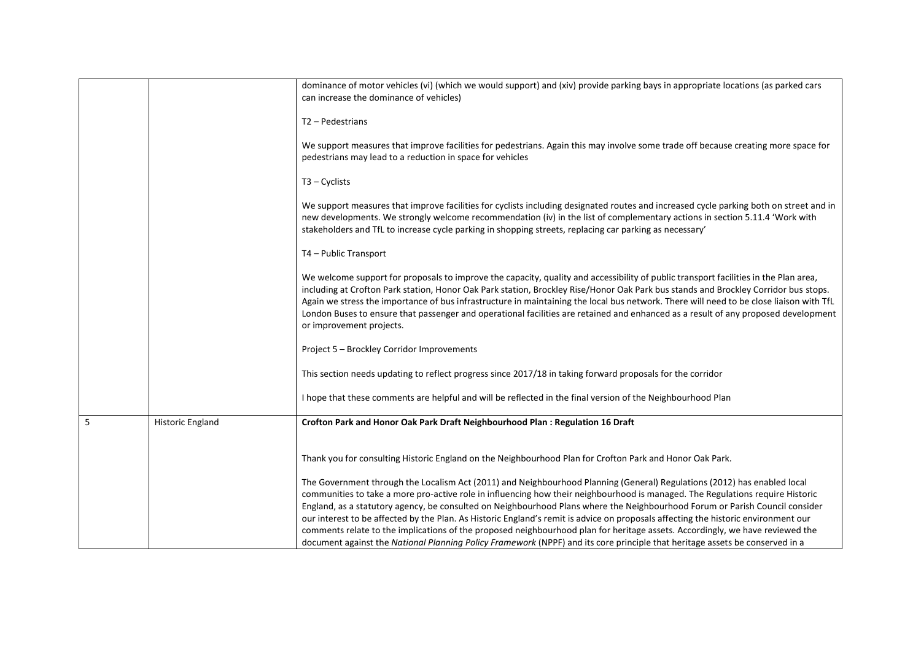|   |                  | dominance of motor vehicles (vi) (which we would support) and (xiv) provide parking bays in appropriate locations (as parked cars<br>can increase the dominance of vehicles)                                                                                                                                                                                                                                                                                                                                                                                                                                                                                                                                                                                                                      |
|---|------------------|---------------------------------------------------------------------------------------------------------------------------------------------------------------------------------------------------------------------------------------------------------------------------------------------------------------------------------------------------------------------------------------------------------------------------------------------------------------------------------------------------------------------------------------------------------------------------------------------------------------------------------------------------------------------------------------------------------------------------------------------------------------------------------------------------|
|   |                  | T2 - Pedestrians                                                                                                                                                                                                                                                                                                                                                                                                                                                                                                                                                                                                                                                                                                                                                                                  |
|   |                  | We support measures that improve facilities for pedestrians. Again this may involve some trade off because creating more space for<br>pedestrians may lead to a reduction in space for vehicles                                                                                                                                                                                                                                                                                                                                                                                                                                                                                                                                                                                                   |
|   |                  | $T3 - Cyclists$                                                                                                                                                                                                                                                                                                                                                                                                                                                                                                                                                                                                                                                                                                                                                                                   |
|   |                  | We support measures that improve facilities for cyclists including designated routes and increased cycle parking both on street and in<br>new developments. We strongly welcome recommendation (iv) in the list of complementary actions in section 5.11.4 'Work with<br>stakeholders and TfL to increase cycle parking in shopping streets, replacing car parking as necessary'                                                                                                                                                                                                                                                                                                                                                                                                                  |
|   |                  | T4 - Public Transport                                                                                                                                                                                                                                                                                                                                                                                                                                                                                                                                                                                                                                                                                                                                                                             |
|   |                  | We welcome support for proposals to improve the capacity, quality and accessibility of public transport facilities in the Plan area,<br>including at Crofton Park station, Honor Oak Park station, Brockley Rise/Honor Oak Park bus stands and Brockley Corridor bus stops.<br>Again we stress the importance of bus infrastructure in maintaining the local bus network. There will need to be close liaison with TfL<br>London Buses to ensure that passenger and operational facilities are retained and enhanced as a result of any proposed development<br>or improvement projects.                                                                                                                                                                                                          |
|   |                  | Project 5 - Brockley Corridor Improvements                                                                                                                                                                                                                                                                                                                                                                                                                                                                                                                                                                                                                                                                                                                                                        |
|   |                  | This section needs updating to reflect progress since 2017/18 in taking forward proposals for the corridor                                                                                                                                                                                                                                                                                                                                                                                                                                                                                                                                                                                                                                                                                        |
|   |                  | I hope that these comments are helpful and will be reflected in the final version of the Neighbourhood Plan                                                                                                                                                                                                                                                                                                                                                                                                                                                                                                                                                                                                                                                                                       |
| 5 | Historic England | Crofton Park and Honor Oak Park Draft Neighbourhood Plan : Regulation 16 Draft                                                                                                                                                                                                                                                                                                                                                                                                                                                                                                                                                                                                                                                                                                                    |
|   |                  | Thank you for consulting Historic England on the Neighbourhood Plan for Crofton Park and Honor Oak Park.                                                                                                                                                                                                                                                                                                                                                                                                                                                                                                                                                                                                                                                                                          |
|   |                  | The Government through the Localism Act (2011) and Neighbourhood Planning (General) Regulations (2012) has enabled local<br>communities to take a more pro-active role in influencing how their neighbourhood is managed. The Regulations require Historic<br>England, as a statutory agency, be consulted on Neighbourhood Plans where the Neighbourhood Forum or Parish Council consider<br>our interest to be affected by the Plan. As Historic England's remit is advice on proposals affecting the historic environment our<br>comments relate to the implications of the proposed neighbourhood plan for heritage assets. Accordingly, we have reviewed the<br>document against the National Planning Policy Framework (NPPF) and its core principle that heritage assets be conserved in a |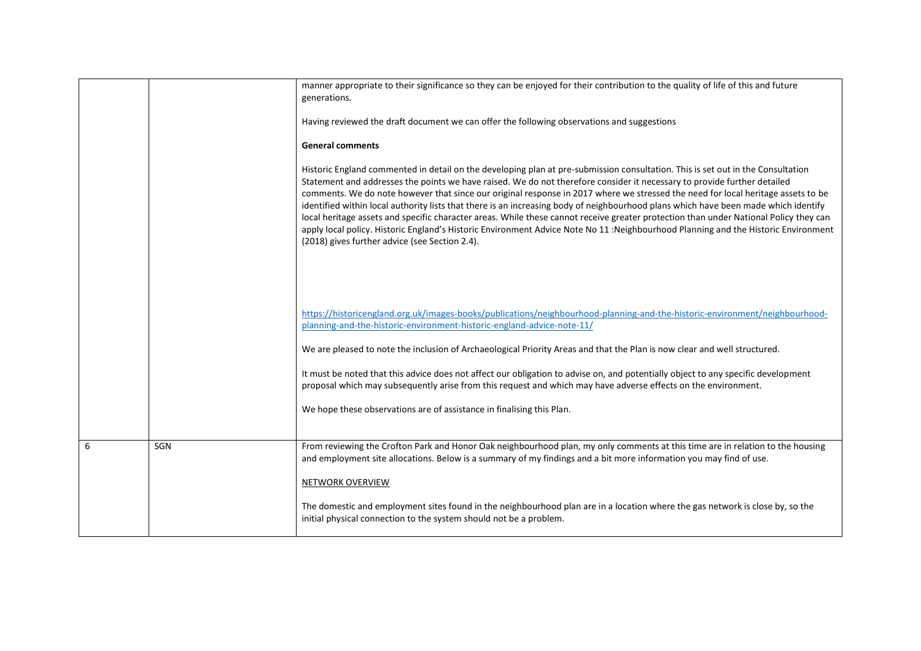|   |     | manner appropriate to their significance so they can be enjoyed for their contribution to the quality of life of this and future<br>generations.                                                                                                                                                                                                                                                                                                                                                                                                                                                                                                                                                                                                                                                                                                                        |
|---|-----|-------------------------------------------------------------------------------------------------------------------------------------------------------------------------------------------------------------------------------------------------------------------------------------------------------------------------------------------------------------------------------------------------------------------------------------------------------------------------------------------------------------------------------------------------------------------------------------------------------------------------------------------------------------------------------------------------------------------------------------------------------------------------------------------------------------------------------------------------------------------------|
|   |     | Having reviewed the draft document we can offer the following observations and suggestions                                                                                                                                                                                                                                                                                                                                                                                                                                                                                                                                                                                                                                                                                                                                                                              |
|   |     | <b>General comments</b>                                                                                                                                                                                                                                                                                                                                                                                                                                                                                                                                                                                                                                                                                                                                                                                                                                                 |
|   |     | Historic England commented in detail on the developing plan at pre-submission consultation. This is set out in the Consultation<br>Statement and addresses the points we have raised. We do not therefore consider it necessary to provide further detailed<br>comments. We do note however that since our original response in 2017 where we stressed the need for local heritage assets to be<br>identified within local authority lists that there is an increasing body of neighbourhood plans which have been made which identify<br>local heritage assets and specific character areas. While these cannot receive greater protection than under National Policy they can<br>apply local policy. Historic England's Historic Environment Advice Note No 11: Neighbourhood Planning and the Historic Environment<br>(2018) gives further advice (see Section 2.4). |
|   |     |                                                                                                                                                                                                                                                                                                                                                                                                                                                                                                                                                                                                                                                                                                                                                                                                                                                                         |
|   |     | https://historicengland.org.uk/images-books/publications/neighbourhood-planning-and-the-historic-environment/neighbourhood-<br>planning-and-the-historic-environment-historic-england-advice-note-11/                                                                                                                                                                                                                                                                                                                                                                                                                                                                                                                                                                                                                                                                   |
|   |     | We are pleased to note the inclusion of Archaeological Priority Areas and that the Plan is now clear and well structured.                                                                                                                                                                                                                                                                                                                                                                                                                                                                                                                                                                                                                                                                                                                                               |
|   |     | It must be noted that this advice does not affect our obligation to advise on, and potentially object to any specific development<br>proposal which may subsequently arise from this request and which may have adverse effects on the environment.                                                                                                                                                                                                                                                                                                                                                                                                                                                                                                                                                                                                                     |
|   |     | We hope these observations are of assistance in finalising this Plan.                                                                                                                                                                                                                                                                                                                                                                                                                                                                                                                                                                                                                                                                                                                                                                                                   |
| 6 | SGN | From reviewing the Crofton Park and Honor Oak neighbourhood plan, my only comments at this time are in relation to the housing<br>and employment site allocations. Below is a summary of my findings and a bit more information you may find of use.                                                                                                                                                                                                                                                                                                                                                                                                                                                                                                                                                                                                                    |
|   |     | NETWORK OVERVIEW                                                                                                                                                                                                                                                                                                                                                                                                                                                                                                                                                                                                                                                                                                                                                                                                                                                        |
|   |     | The domestic and employment sites found in the neighbourhood plan are in a location where the gas network is close by, so the<br>initial physical connection to the system should not be a problem.                                                                                                                                                                                                                                                                                                                                                                                                                                                                                                                                                                                                                                                                     |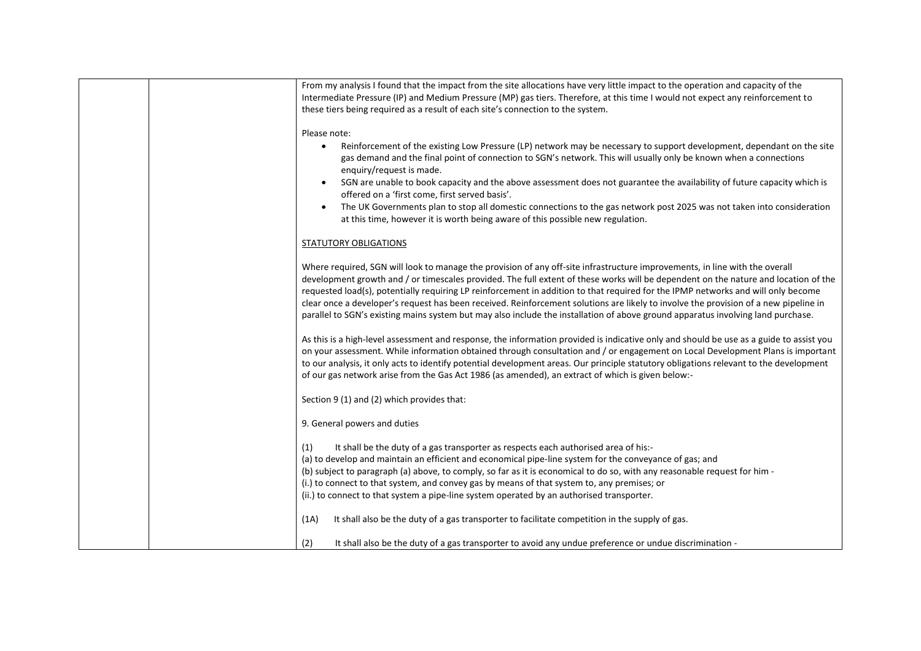| From my analysis I found that the impact from the site allocations have very little impact to the operation and capacity of the         |
|-----------------------------------------------------------------------------------------------------------------------------------------|
| Intermediate Pressure (IP) and Medium Pressure (MP) gas tiers. Therefore, at this time I would not expect any reinforcement to          |
| these tiers being required as a result of each site's connection to the system.                                                         |
|                                                                                                                                         |
| Please note:                                                                                                                            |
| Reinforcement of the existing Low Pressure (LP) network may be necessary to support development, dependant on the site                  |
| gas demand and the final point of connection to SGN's network. This will usually only be known when a connections                       |
| enquiry/request is made.                                                                                                                |
| SGN are unable to book capacity and the above assessment does not guarantee the availability of future capacity which is                |
| offered on a 'first come, first served basis'.                                                                                          |
| The UK Governments plan to stop all domestic connections to the gas network post 2025 was not taken into consideration<br>$\bullet$     |
| at this time, however it is worth being aware of this possible new regulation.                                                          |
|                                                                                                                                         |
| STATUTORY OBLIGATIONS                                                                                                                   |
|                                                                                                                                         |
| Where required, SGN will look to manage the provision of any off-site infrastructure improvements, in line with the overall             |
| development growth and / or timescales provided. The full extent of these works will be dependent on the nature and location of the     |
| requested load(s), potentially requiring LP reinforcement in addition to that required for the IPMP networks and will only become       |
| clear once a developer's request has been received. Reinforcement solutions are likely to involve the provision of a new pipeline in    |
| parallel to SGN's existing mains system but may also include the installation of above ground apparatus involving land purchase.        |
|                                                                                                                                         |
| As this is a high-level assessment and response, the information provided is indicative only and should be use as a guide to assist you |
| on your assessment. While information obtained through consultation and / or engagement on Local Development Plans is important         |
| to our analysis, it only acts to identify potential development areas. Our principle statutory obligations relevant to the development  |
| of our gas network arise from the Gas Act 1986 (as amended), an extract of which is given below:-                                       |
|                                                                                                                                         |
| Section 9 (1) and (2) which provides that:                                                                                              |
|                                                                                                                                         |
| 9. General powers and duties                                                                                                            |
|                                                                                                                                         |
| It shall be the duty of a gas transporter as respects each authorised area of his:-<br>(1)                                              |
| (a) to develop and maintain an efficient and economical pipe-line system for the conveyance of gas; and                                 |
| (b) subject to paragraph (a) above, to comply, so far as it is economical to do so, with any reasonable request for him -               |
| (i.) to connect to that system, and convey gas by means of that system to, any premises; or                                             |
| (ii.) to connect to that system a pipe-line system operated by an authorised transporter.                                               |
|                                                                                                                                         |
| It shall also be the duty of a gas transporter to facilitate competition in the supply of gas.<br>(1A)                                  |
|                                                                                                                                         |
| (2)<br>It shall also be the duty of a gas transporter to avoid any undue preference or undue discrimination -                           |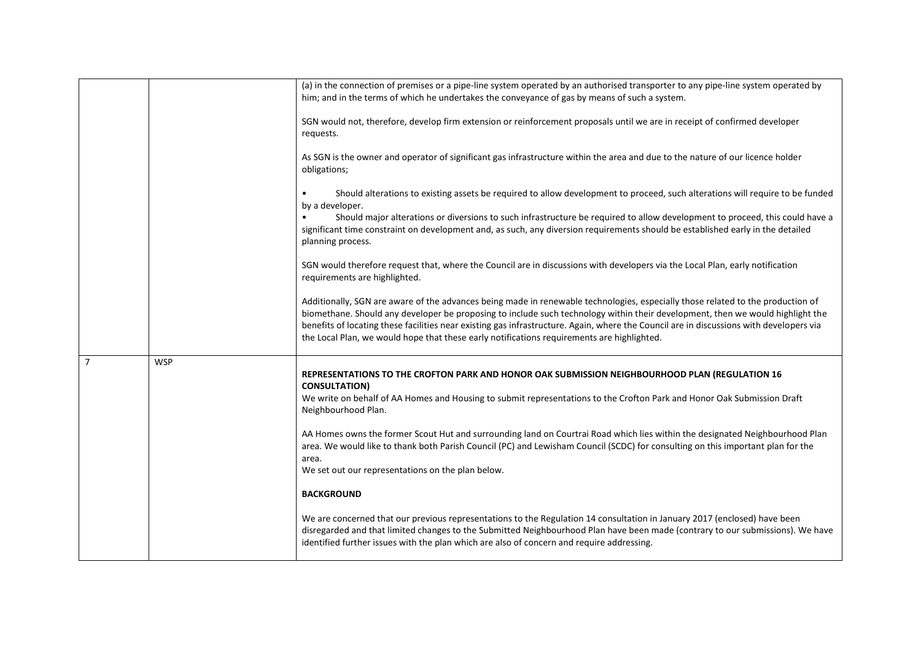|                |            | (a) in the connection of premises or a pipe-line system operated by an authorised transporter to any pipe-line system operated by       |
|----------------|------------|-----------------------------------------------------------------------------------------------------------------------------------------|
|                |            | him; and in the terms of which he undertakes the conveyance of gas by means of such a system.                                           |
|                |            |                                                                                                                                         |
|                |            | SGN would not, therefore, develop firm extension or reinforcement proposals until we are in receipt of confirmed developer              |
|                |            | requests.                                                                                                                               |
|                |            |                                                                                                                                         |
|                |            |                                                                                                                                         |
|                |            | As SGN is the owner and operator of significant gas infrastructure within the area and due to the nature of our licence holder          |
|                |            | obligations;                                                                                                                            |
|                |            |                                                                                                                                         |
|                |            | Should alterations to existing assets be required to allow development to proceed, such alterations will require to be funded           |
|                |            | by a developer.                                                                                                                         |
|                |            |                                                                                                                                         |
|                |            | Should major alterations or diversions to such infrastructure be required to allow development to proceed, this could have a            |
|                |            | significant time constraint on development and, as such, any diversion requirements should be established early in the detailed         |
|                |            | planning process.                                                                                                                       |
|                |            |                                                                                                                                         |
|                |            | SGN would therefore request that, where the Council are in discussions with developers via the Local Plan, early notification           |
|                |            | requirements are highlighted.                                                                                                           |
|                |            |                                                                                                                                         |
|                |            |                                                                                                                                         |
|                |            | Additionally, SGN are aware of the advances being made in renewable technologies, especially those related to the production of         |
|                |            | biomethane. Should any developer be proposing to include such technology within their development, then we would highlight the          |
|                |            | benefits of locating these facilities near existing gas infrastructure. Again, where the Council are in discussions with developers via |
|                |            | the Local Plan, we would hope that these early notifications requirements are highlighted.                                              |
|                |            |                                                                                                                                         |
|                |            |                                                                                                                                         |
| $\overline{7}$ | <b>WSP</b> |                                                                                                                                         |
|                |            | REPRESENTATIONS TO THE CROFTON PARK AND HONOR OAK SUBMISSION NEIGHBOURHOOD PLAN (REGULATION 16                                          |
|                |            | <b>CONSULTATION)</b>                                                                                                                    |
|                |            | We write on behalf of AA Homes and Housing to submit representations to the Crofton Park and Honor Oak Submission Draft                 |
|                |            | Neighbourhood Plan.                                                                                                                     |
|                |            |                                                                                                                                         |
|                |            | AA Homes owns the former Scout Hut and surrounding land on Courtrai Road which lies within the designated Neighbourhood Plan            |
|                |            |                                                                                                                                         |
|                |            | area. We would like to thank both Parish Council (PC) and Lewisham Council (SCDC) for consulting on this important plan for the         |
|                |            | area.                                                                                                                                   |
|                |            | We set out our representations on the plan below.                                                                                       |
|                |            |                                                                                                                                         |
|                |            | <b>BACKGROUND</b>                                                                                                                       |
|                |            |                                                                                                                                         |
|                |            | We are concerned that our previous representations to the Regulation 14 consultation in January 2017 (enclosed) have been               |
|                |            |                                                                                                                                         |
|                |            | disregarded and that limited changes to the Submitted Neighbourhood Plan have been made (contrary to our submissions). We have          |
|                |            | identified further issues with the plan which are also of concern and require addressing.                                               |
|                |            |                                                                                                                                         |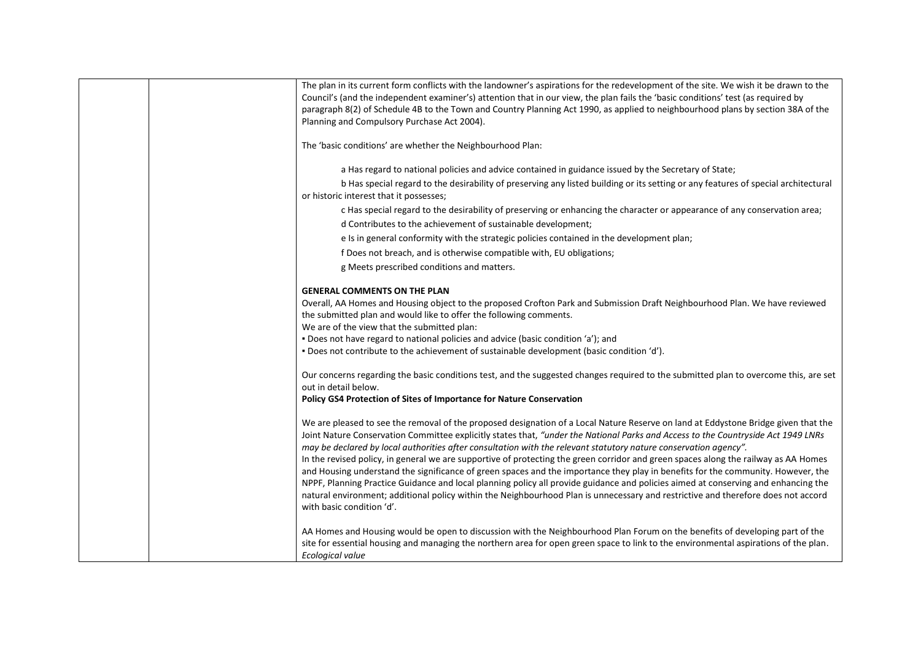| The plan in its current form conflicts with the landowner's aspirations for the redevelopment of the site. We wish it be drawn to the<br>Council's (and the independent examiner's) attention that in our view, the plan fails the 'basic conditions' test (as required by<br>paragraph 8(2) of Schedule 4B to the Town and Country Planning Act 1990, as applied to neighbourhood plans by section 38A of the<br>Planning and Compulsory Purchase Act 2004).                                                                                                                                                                                                                                                                                                                                                                                                                                                                                                                  |
|--------------------------------------------------------------------------------------------------------------------------------------------------------------------------------------------------------------------------------------------------------------------------------------------------------------------------------------------------------------------------------------------------------------------------------------------------------------------------------------------------------------------------------------------------------------------------------------------------------------------------------------------------------------------------------------------------------------------------------------------------------------------------------------------------------------------------------------------------------------------------------------------------------------------------------------------------------------------------------|
| The 'basic conditions' are whether the Neighbourhood Plan:                                                                                                                                                                                                                                                                                                                                                                                                                                                                                                                                                                                                                                                                                                                                                                                                                                                                                                                     |
| a Has regard to national policies and advice contained in guidance issued by the Secretary of State;                                                                                                                                                                                                                                                                                                                                                                                                                                                                                                                                                                                                                                                                                                                                                                                                                                                                           |
| b Has special regard to the desirability of preserving any listed building or its setting or any features of special architectural<br>or historic interest that it possesses;                                                                                                                                                                                                                                                                                                                                                                                                                                                                                                                                                                                                                                                                                                                                                                                                  |
| c Has special regard to the desirability of preserving or enhancing the character or appearance of any conservation area;                                                                                                                                                                                                                                                                                                                                                                                                                                                                                                                                                                                                                                                                                                                                                                                                                                                      |
| d Contributes to the achievement of sustainable development;                                                                                                                                                                                                                                                                                                                                                                                                                                                                                                                                                                                                                                                                                                                                                                                                                                                                                                                   |
| e Is in general conformity with the strategic policies contained in the development plan;                                                                                                                                                                                                                                                                                                                                                                                                                                                                                                                                                                                                                                                                                                                                                                                                                                                                                      |
| f Does not breach, and is otherwise compatible with, EU obligations;                                                                                                                                                                                                                                                                                                                                                                                                                                                                                                                                                                                                                                                                                                                                                                                                                                                                                                           |
| g Meets prescribed conditions and matters.                                                                                                                                                                                                                                                                                                                                                                                                                                                                                                                                                                                                                                                                                                                                                                                                                                                                                                                                     |
| <b>GENERAL COMMENTS ON THE PLAN</b>                                                                                                                                                                                                                                                                                                                                                                                                                                                                                                                                                                                                                                                                                                                                                                                                                                                                                                                                            |
| Overall, AA Homes and Housing object to the proposed Crofton Park and Submission Draft Neighbourhood Plan. We have reviewed                                                                                                                                                                                                                                                                                                                                                                                                                                                                                                                                                                                                                                                                                                                                                                                                                                                    |
| the submitted plan and would like to offer the following comments.                                                                                                                                                                                                                                                                                                                                                                                                                                                                                                                                                                                                                                                                                                                                                                                                                                                                                                             |
| We are of the view that the submitted plan:                                                                                                                                                                                                                                                                                                                                                                                                                                                                                                                                                                                                                                                                                                                                                                                                                                                                                                                                    |
| . Does not have regard to national policies and advice (basic condition 'a'); and                                                                                                                                                                                                                                                                                                                                                                                                                                                                                                                                                                                                                                                                                                                                                                                                                                                                                              |
| . Does not contribute to the achievement of sustainable development (basic condition 'd').                                                                                                                                                                                                                                                                                                                                                                                                                                                                                                                                                                                                                                                                                                                                                                                                                                                                                     |
| Our concerns regarding the basic conditions test, and the suggested changes required to the submitted plan to overcome this, are set<br>out in detail below.                                                                                                                                                                                                                                                                                                                                                                                                                                                                                                                                                                                                                                                                                                                                                                                                                   |
| Policy GS4 Protection of Sites of Importance for Nature Conservation                                                                                                                                                                                                                                                                                                                                                                                                                                                                                                                                                                                                                                                                                                                                                                                                                                                                                                           |
| We are pleased to see the removal of the proposed designation of a Local Nature Reserve on land at Eddystone Bridge given that the<br>Joint Nature Conservation Committee explicitly states that, "under the National Parks and Access to the Countryside Act 1949 LNRs<br>may be declared by local authorities after consultation with the relevant statutory nature conservation agency".<br>In the revised policy, in general we are supportive of protecting the green corridor and green spaces along the railway as AA Homes<br>and Housing understand the significance of green spaces and the importance they play in benefits for the community. However, the<br>NPPF, Planning Practice Guidance and local planning policy all provide guidance and policies aimed at conserving and enhancing the<br>natural environment; additional policy within the Neighbourhood Plan is unnecessary and restrictive and therefore does not accord<br>with basic condition 'd'. |
| AA Homes and Housing would be open to discussion with the Neighbourhood Plan Forum on the benefits of developing part of the<br>site for essential housing and managing the northern area for open green space to link to the environmental aspirations of the plan.<br>Ecological value                                                                                                                                                                                                                                                                                                                                                                                                                                                                                                                                                                                                                                                                                       |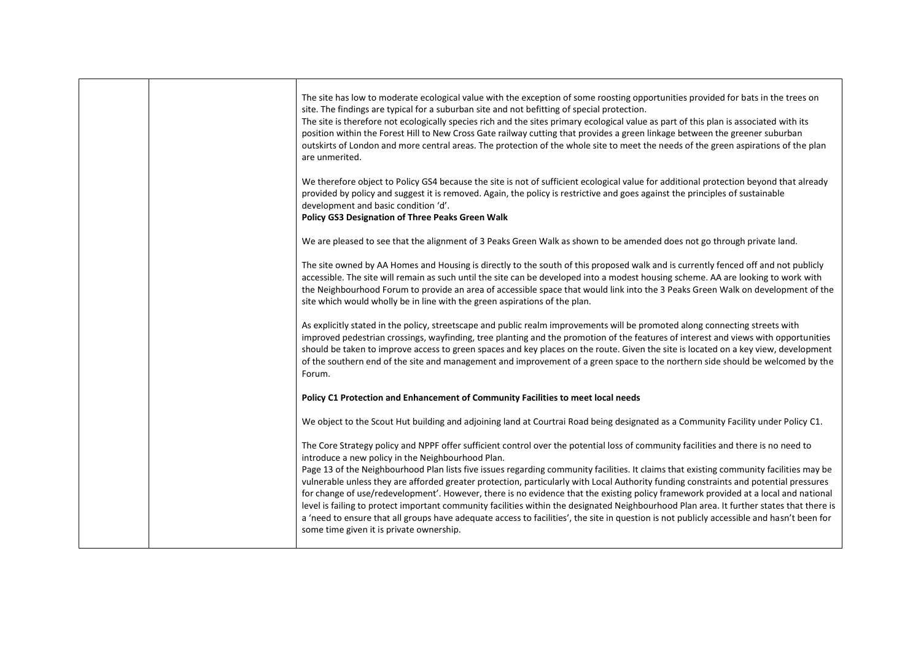|  | The site has low to moderate ecological value with the exception of some roosting opportunities provided for bats in the trees on<br>site. The findings are typical for a suburban site and not befitting of special protection.<br>The site is therefore not ecologically species rich and the sites primary ecological value as part of this plan is associated with its<br>position within the Forest Hill to New Cross Gate railway cutting that provides a green linkage between the greener suburban<br>outskirts of London and more central areas. The protection of the whole site to meet the needs of the green aspirations of the plan<br>are unmerited.                                                                                                                                                                                                                                                                                       |
|--|-----------------------------------------------------------------------------------------------------------------------------------------------------------------------------------------------------------------------------------------------------------------------------------------------------------------------------------------------------------------------------------------------------------------------------------------------------------------------------------------------------------------------------------------------------------------------------------------------------------------------------------------------------------------------------------------------------------------------------------------------------------------------------------------------------------------------------------------------------------------------------------------------------------------------------------------------------------|
|  | We therefore object to Policy GS4 because the site is not of sufficient ecological value for additional protection beyond that already<br>provided by policy and suggest it is removed. Again, the policy is restrictive and goes against the principles of sustainable<br>development and basic condition 'd'.<br>Policy GS3 Designation of Three Peaks Green Walk                                                                                                                                                                                                                                                                                                                                                                                                                                                                                                                                                                                       |
|  | We are pleased to see that the alignment of 3 Peaks Green Walk as shown to be amended does not go through private land.                                                                                                                                                                                                                                                                                                                                                                                                                                                                                                                                                                                                                                                                                                                                                                                                                                   |
|  | The site owned by AA Homes and Housing is directly to the south of this proposed walk and is currently fenced off and not publicly<br>accessible. The site will remain as such until the site can be developed into a modest housing scheme. AA are looking to work with<br>the Neighbourhood Forum to provide an area of accessible space that would link into the 3 Peaks Green Walk on development of the<br>site which would wholly be in line with the green aspirations of the plan.                                                                                                                                                                                                                                                                                                                                                                                                                                                                |
|  | As explicitly stated in the policy, streetscape and public realm improvements will be promoted along connecting streets with<br>improved pedestrian crossings, wayfinding, tree planting and the promotion of the features of interest and views with opportunities<br>should be taken to improve access to green spaces and key places on the route. Given the site is located on a key view, development<br>of the southern end of the site and management and improvement of a green space to the northern side should be welcomed by the<br>Forum.                                                                                                                                                                                                                                                                                                                                                                                                    |
|  | Policy C1 Protection and Enhancement of Community Facilities to meet local needs                                                                                                                                                                                                                                                                                                                                                                                                                                                                                                                                                                                                                                                                                                                                                                                                                                                                          |
|  | We object to the Scout Hut building and adjoining land at Courtrai Road being designated as a Community Facility under Policy C1.                                                                                                                                                                                                                                                                                                                                                                                                                                                                                                                                                                                                                                                                                                                                                                                                                         |
|  | The Core Strategy policy and NPPF offer sufficient control over the potential loss of community facilities and there is no need to<br>introduce a new policy in the Neighbourhood Plan.<br>Page 13 of the Neighbourhood Plan lists five issues regarding community facilities. It claims that existing community facilities may be<br>vulnerable unless they are afforded greater protection, particularly with Local Authority funding constraints and potential pressures<br>for change of use/redevelopment'. However, there is no evidence that the existing policy framework provided at a local and national<br>level is failing to protect important community facilities within the designated Neighbourhood Plan area. It further states that there is<br>a 'need to ensure that all groups have adequate access to facilities', the site in question is not publicly accessible and hasn't been for<br>some time given it is private ownership. |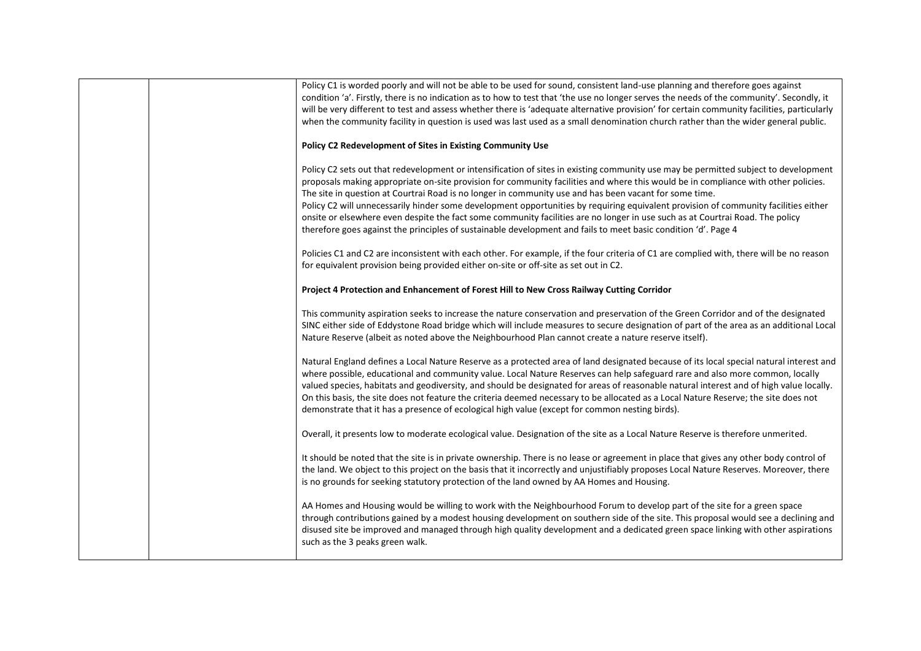|  | Policy C1 is worded poorly and will not be able to be used for sound, consistent land-use planning and therefore goes against              |
|--|--------------------------------------------------------------------------------------------------------------------------------------------|
|  | condition 'a'. Firstly, there is no indication as to how to test that 'the use no longer serves the needs of the community'. Secondly, it  |
|  | will be very different to test and assess whether there is 'adequate alternative provision' for certain community facilities, particularly |
|  | when the community facility in question is used was last used as a small denomination church rather than the wider general public.         |
|  |                                                                                                                                            |
|  | Policy C2 Redevelopment of Sites in Existing Community Use                                                                                 |
|  |                                                                                                                                            |
|  | Policy C2 sets out that redevelopment or intensification of sites in existing community use may be permitted subject to development        |
|  | proposals making appropriate on-site provision for community facilities and where this would be in compliance with other policies.         |
|  | The site in question at Courtrai Road is no longer in community use and has been vacant for some time.                                     |
|  | Policy C2 will unnecessarily hinder some development opportunities by requiring equivalent provision of community facilities either        |
|  | onsite or elsewhere even despite the fact some community facilities are no longer in use such as at Courtrai Road. The policy              |
|  | therefore goes against the principles of sustainable development and fails to meet basic condition 'd'. Page 4                             |
|  |                                                                                                                                            |
|  | Policies C1 and C2 are inconsistent with each other. For example, if the four criteria of C1 are complied with, there will be no reason    |
|  | for equivalent provision being provided either on-site or off-site as set out in C2.                                                       |
|  |                                                                                                                                            |
|  | Project 4 Protection and Enhancement of Forest Hill to New Cross Railway Cutting Corridor                                                  |
|  |                                                                                                                                            |
|  | This community aspiration seeks to increase the nature conservation and preservation of the Green Corridor and of the designated           |
|  | SINC either side of Eddystone Road bridge which will include measures to secure designation of part of the area as an additional Local     |
|  | Nature Reserve (albeit as noted above the Neighbourhood Plan cannot create a nature reserve itself).                                       |
|  |                                                                                                                                            |
|  | Natural England defines a Local Nature Reserve as a protected area of land designated because of its local special natural interest and    |
|  |                                                                                                                                            |
|  | where possible, educational and community value. Local Nature Reserves can help safeguard rare and also more common, locally               |
|  | valued species, habitats and geodiversity, and should be designated for areas of reasonable natural interest and of high value locally.    |
|  | On this basis, the site does not feature the criteria deemed necessary to be allocated as a Local Nature Reserve; the site does not        |
|  | demonstrate that it has a presence of ecological high value (except for common nesting birds).                                             |
|  |                                                                                                                                            |
|  | Overall, it presents low to moderate ecological value. Designation of the site as a Local Nature Reserve is therefore unmerited.           |
|  |                                                                                                                                            |
|  | It should be noted that the site is in private ownership. There is no lease or agreement in place that gives any other body control of     |
|  | the land. We object to this project on the basis that it incorrectly and unjustifiably proposes Local Nature Reserves. Moreover, there     |
|  | is no grounds for seeking statutory protection of the land owned by AA Homes and Housing.                                                  |
|  |                                                                                                                                            |
|  | AA Homes and Housing would be willing to work with the Neighbourhood Forum to develop part of the site for a green space                   |
|  | through contributions gained by a modest housing development on southern side of the site. This proposal would see a declining and         |
|  | disused site be improved and managed through high quality development and a dedicated green space linking with other aspirations           |
|  | such as the 3 peaks green walk.                                                                                                            |
|  |                                                                                                                                            |
|  |                                                                                                                                            |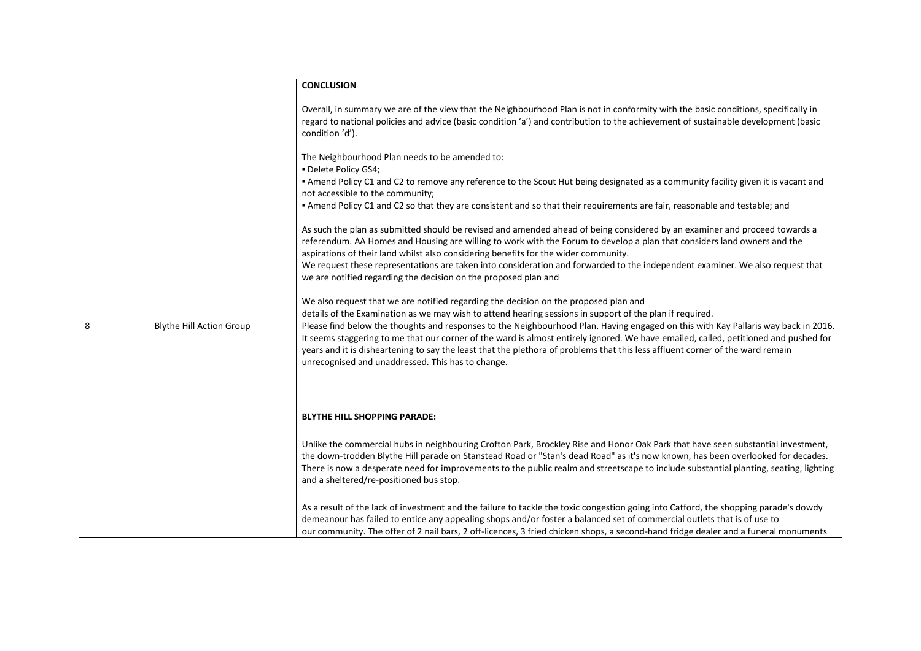|   |                                 | <b>CONCLUSION</b>                                                                                                                                                                                                                                                                                                                                                                                                                                                 |
|---|---------------------------------|-------------------------------------------------------------------------------------------------------------------------------------------------------------------------------------------------------------------------------------------------------------------------------------------------------------------------------------------------------------------------------------------------------------------------------------------------------------------|
|   |                                 |                                                                                                                                                                                                                                                                                                                                                                                                                                                                   |
|   |                                 | Overall, in summary we are of the view that the Neighbourhood Plan is not in conformity with the basic conditions, specifically in<br>regard to national policies and advice (basic condition 'a') and contribution to the achievement of sustainable development (basic<br>condition 'd').                                                                                                                                                                       |
|   |                                 | The Neighbourhood Plan needs to be amended to:<br>· Delete Policy GS4;                                                                                                                                                                                                                                                                                                                                                                                            |
|   |                                 | • Amend Policy C1 and C2 to remove any reference to the Scout Hut being designated as a community facility given it is vacant and<br>not accessible to the community;                                                                                                                                                                                                                                                                                             |
|   |                                 | . Amend Policy C1 and C2 so that they are consistent and so that their requirements are fair, reasonable and testable; and                                                                                                                                                                                                                                                                                                                                        |
|   |                                 | As such the plan as submitted should be revised and amended ahead of being considered by an examiner and proceed towards a<br>referendum. AA Homes and Housing are willing to work with the Forum to develop a plan that considers land owners and the<br>aspirations of their land whilst also considering benefits for the wider community.                                                                                                                     |
|   |                                 | We request these representations are taken into consideration and forwarded to the independent examiner. We also request that<br>we are notified regarding the decision on the proposed plan and                                                                                                                                                                                                                                                                  |
|   |                                 | We also request that we are notified regarding the decision on the proposed plan and<br>details of the Examination as we may wish to attend hearing sessions in support of the plan if required.                                                                                                                                                                                                                                                                  |
| 8 | <b>Blythe Hill Action Group</b> | Please find below the thoughts and responses to the Neighbourhood Plan. Having engaged on this with Kay Pallaris way back in 2016.<br>It seems staggering to me that our corner of the ward is almost entirely ignored. We have emailed, called, petitioned and pushed for<br>years and it is disheartening to say the least that the plethora of problems that this less affluent corner of the ward remain<br>unrecognised and unaddressed. This has to change. |
|   |                                 | <b>BLYTHE HILL SHOPPING PARADE:</b>                                                                                                                                                                                                                                                                                                                                                                                                                               |
|   |                                 | Unlike the commercial hubs in neighbouring Crofton Park, Brockley Rise and Honor Oak Park that have seen substantial investment,<br>the down-trodden Blythe Hill parade on Stanstead Road or "Stan's dead Road" as it's now known, has been overlooked for decades.<br>There is now a desperate need for improvements to the public realm and streetscape to include substantial planting, seating, lighting<br>and a sheltered/re-positioned bus stop.           |
|   |                                 | As a result of the lack of investment and the failure to tackle the toxic congestion going into Catford, the shopping parade's dowdy<br>demeanour has failed to entice any appealing shops and/or foster a balanced set of commercial outlets that is of use to<br>our community. The offer of 2 nail bars, 2 off-licences, 3 fried chicken shops, a second-hand fridge dealer and a funeral monuments                                                            |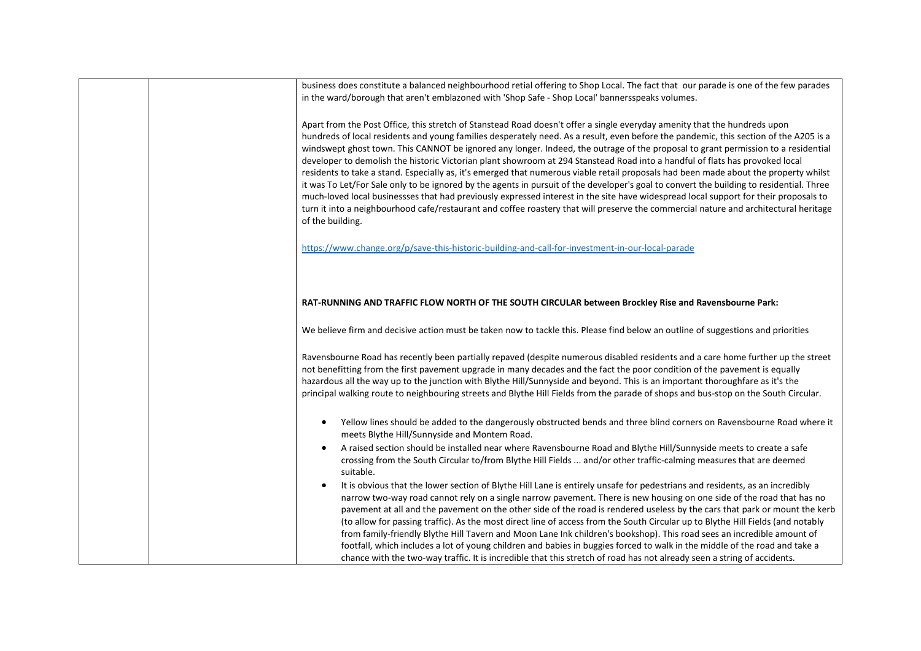| business does constitute a balanced neighbourhood retial offering to Shop Local. The fact that our parade is one of the few parades<br>in the ward/borough that aren't emblazoned with 'Shop Safe - Shop Local' bannersspeaks volumes.                                                                                                                                                                                                                                                                                                                                                                                                                                                                                                                                                                                                                                                                                                                                                                                                                                                                                          |
|---------------------------------------------------------------------------------------------------------------------------------------------------------------------------------------------------------------------------------------------------------------------------------------------------------------------------------------------------------------------------------------------------------------------------------------------------------------------------------------------------------------------------------------------------------------------------------------------------------------------------------------------------------------------------------------------------------------------------------------------------------------------------------------------------------------------------------------------------------------------------------------------------------------------------------------------------------------------------------------------------------------------------------------------------------------------------------------------------------------------------------|
| Apart from the Post Office, this stretch of Stanstead Road doesn't offer a single everyday amenity that the hundreds upon<br>hundreds of local residents and young families desperately need. As a result, even before the pandemic, this section of the A205 is a<br>windswept ghost town. This CANNOT be ignored any longer. Indeed, the outrage of the proposal to grant permission to a residential<br>developer to demolish the historic Victorian plant showroom at 294 Stanstead Road into a handful of flats has provoked local<br>residents to take a stand. Especially as, it's emerged that numerous viable retail proposals had been made about the property whilst<br>it was To Let/For Sale only to be ignored by the agents in pursuit of the developer's goal to convert the building to residential. Three<br>much-loved local businessses that had previously expressed interest in the site have widespread local support for their proposals to<br>turn it into a neighbourhood cafe/restaurant and coffee roastery that will preserve the commercial nature and architectural heritage<br>of the building. |
| https://www.change.org/p/save-this-historic-building-and-call-for-investment-in-our-local-parade                                                                                                                                                                                                                                                                                                                                                                                                                                                                                                                                                                                                                                                                                                                                                                                                                                                                                                                                                                                                                                |
| RAT-RUNNING AND TRAFFIC FLOW NORTH OF THE SOUTH CIRCULAR between Brockley Rise and Ravensbourne Park:                                                                                                                                                                                                                                                                                                                                                                                                                                                                                                                                                                                                                                                                                                                                                                                                                                                                                                                                                                                                                           |
| We believe firm and decisive action must be taken now to tackle this. Please find below an outline of suggestions and priorities                                                                                                                                                                                                                                                                                                                                                                                                                                                                                                                                                                                                                                                                                                                                                                                                                                                                                                                                                                                                |
| Ravensbourne Road has recently been partially repaved (despite numerous disabled residents and a care home further up the street<br>not benefitting from the first pavement upgrade in many decades and the fact the poor condition of the pavement is equally<br>hazardous all the way up to the junction with Blythe Hill/Sunnyside and beyond. This is an important thoroughfare as it's the<br>principal walking route to neighbouring streets and Blythe Hill Fields from the parade of shops and bus-stop on the South Circular.                                                                                                                                                                                                                                                                                                                                                                                                                                                                                                                                                                                          |
| Yellow lines should be added to the dangerously obstructed bends and three blind corners on Ravensbourne Road where it<br>meets Blythe Hill/Sunnyside and Montem Road.                                                                                                                                                                                                                                                                                                                                                                                                                                                                                                                                                                                                                                                                                                                                                                                                                                                                                                                                                          |
| A raised section should be installed near where Ravensbourne Road and Blythe Hill/Sunnyside meets to create a safe<br>crossing from the South Circular to/from Blythe Hill Fields  and/or other traffic-calming measures that are deemed<br>suitable.                                                                                                                                                                                                                                                                                                                                                                                                                                                                                                                                                                                                                                                                                                                                                                                                                                                                           |
| It is obvious that the lower section of Blythe Hill Lane is entirely unsafe for pedestrians and residents, as an incredibly<br>narrow two-way road cannot rely on a single narrow pavement. There is new housing on one side of the road that has no<br>pavement at all and the pavement on the other side of the road is rendered useless by the cars that park or mount the kerb<br>(to allow for passing traffic). As the most direct line of access from the South Circular up to Blythe Hill Fields (and notably<br>from family-friendly Blythe Hill Tavern and Moon Lane Ink children's bookshop). This road sees an incredible amount of<br>footfall, which includes a lot of young children and babies in buggies forced to walk in the middle of the road and take a<br>chance with the two-way traffic. It is incredible that this stretch of road has not already seen a string of accidents.                                                                                                                                                                                                                        |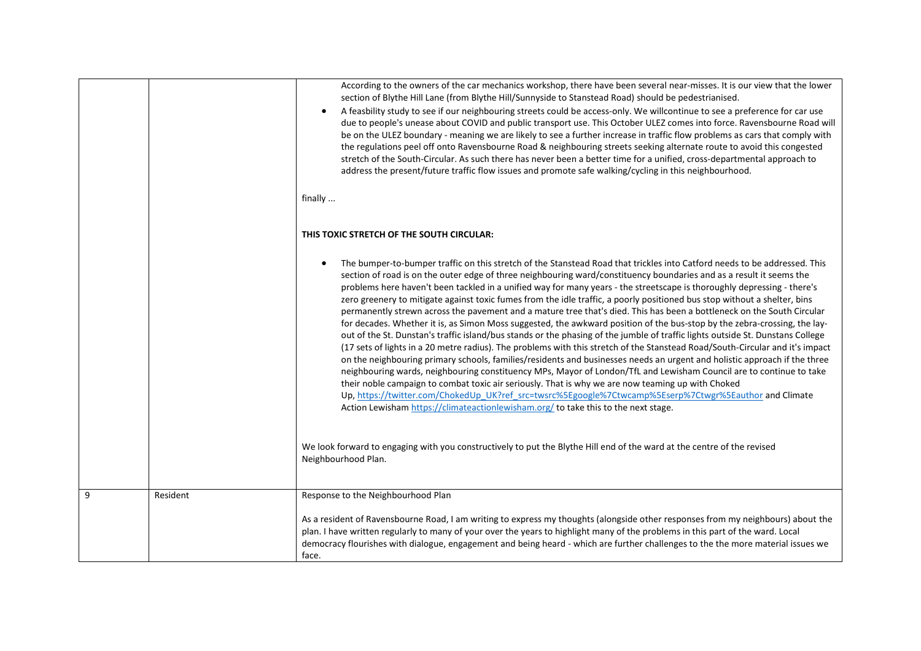|              |          | According to the owners of the car mechanics workshop, there have been several near-misses. It is our view that the lower<br>section of Blythe Hill Lane (from Blythe Hill/Sunnyside to Stanstead Road) should be pedestrianised.<br>A feasbility study to see if our neighbouring streets could be access-only. We willcontinue to see a preference for car use<br>$\bullet$<br>due to people's unease about COVID and public transport use. This October ULEZ comes into force. Ravensbourne Road will<br>be on the ULEZ boundary - meaning we are likely to see a further increase in traffic flow problems as cars that comply with<br>the regulations peel off onto Ravensbourne Road & neighbouring streets seeking alternate route to avoid this congested<br>stretch of the South-Circular. As such there has never been a better time for a unified, cross-departmental approach to<br>address the present/future traffic flow issues and promote safe walking/cycling in this neighbourhood.                                                                                                                                                                                                                                                                                                                                                                                                                                                                                                                                                                                       |
|--------------|----------|----------------------------------------------------------------------------------------------------------------------------------------------------------------------------------------------------------------------------------------------------------------------------------------------------------------------------------------------------------------------------------------------------------------------------------------------------------------------------------------------------------------------------------------------------------------------------------------------------------------------------------------------------------------------------------------------------------------------------------------------------------------------------------------------------------------------------------------------------------------------------------------------------------------------------------------------------------------------------------------------------------------------------------------------------------------------------------------------------------------------------------------------------------------------------------------------------------------------------------------------------------------------------------------------------------------------------------------------------------------------------------------------------------------------------------------------------------------------------------------------------------------------------------------------------------------------------------------------|
|              |          | finally                                                                                                                                                                                                                                                                                                                                                                                                                                                                                                                                                                                                                                                                                                                                                                                                                                                                                                                                                                                                                                                                                                                                                                                                                                                                                                                                                                                                                                                                                                                                                                                      |
|              |          | THIS TOXIC STRETCH OF THE SOUTH CIRCULAR:                                                                                                                                                                                                                                                                                                                                                                                                                                                                                                                                                                                                                                                                                                                                                                                                                                                                                                                                                                                                                                                                                                                                                                                                                                                                                                                                                                                                                                                                                                                                                    |
|              |          | The bumper-to-bumper traffic on this stretch of the Stanstead Road that trickles into Catford needs to be addressed. This<br>section of road is on the outer edge of three neighbouring ward/constituency boundaries and as a result it seems the<br>problems here haven't been tackled in a unified way for many years - the streetscape is thoroughly depressing - there's<br>zero greenery to mitigate against toxic fumes from the idle traffic, a poorly positioned bus stop without a shelter, bins<br>permanently strewn across the pavement and a mature tree that's died. This has been a bottleneck on the South Circular<br>for decades. Whether it is, as Simon Moss suggested, the awkward position of the bus-stop by the zebra-crossing, the lay-<br>out of the St. Dunstan's traffic island/bus stands or the phasing of the jumble of traffic lights outside St. Dunstans College<br>(17 sets of lights in a 20 metre radius). The problems with this stretch of the Stanstead Road/South-Circular and it's impact<br>on the neighbouring primary schools, families/residents and businesses needs an urgent and holistic approach if the three<br>neighbouring wards, neighbouring constituency MPs, Mayor of London/TfL and Lewisham Council are to continue to take<br>their noble campaign to combat toxic air seriously. That is why we are now teaming up with Choked<br>Up, https://twitter.com/ChokedUp_UK?ref_src=twsrc%5Egoogle%7Ctwcamp%5Eserp%7Ctwgr%5Eauthor and Climate<br>Action Lewisham https://climateactionlewisham.org/ to take this to the next stage. |
|              |          | We look forward to engaging with you constructively to put the Blythe Hill end of the ward at the centre of the revised<br>Neighbourhood Plan.                                                                                                                                                                                                                                                                                                                                                                                                                                                                                                                                                                                                                                                                                                                                                                                                                                                                                                                                                                                                                                                                                                                                                                                                                                                                                                                                                                                                                                               |
| $\mathbf{q}$ | Resident | Response to the Neighbourhood Plan                                                                                                                                                                                                                                                                                                                                                                                                                                                                                                                                                                                                                                                                                                                                                                                                                                                                                                                                                                                                                                                                                                                                                                                                                                                                                                                                                                                                                                                                                                                                                           |
|              |          | As a resident of Ravensbourne Road, I am writing to express my thoughts (alongside other responses from my neighbours) about the<br>plan. I have written regularly to many of your over the years to highlight many of the problems in this part of the ward. Local<br>democracy flourishes with dialogue, engagement and being heard - which are further challenges to the the more material issues we<br>face.                                                                                                                                                                                                                                                                                                                                                                                                                                                                                                                                                                                                                                                                                                                                                                                                                                                                                                                                                                                                                                                                                                                                                                             |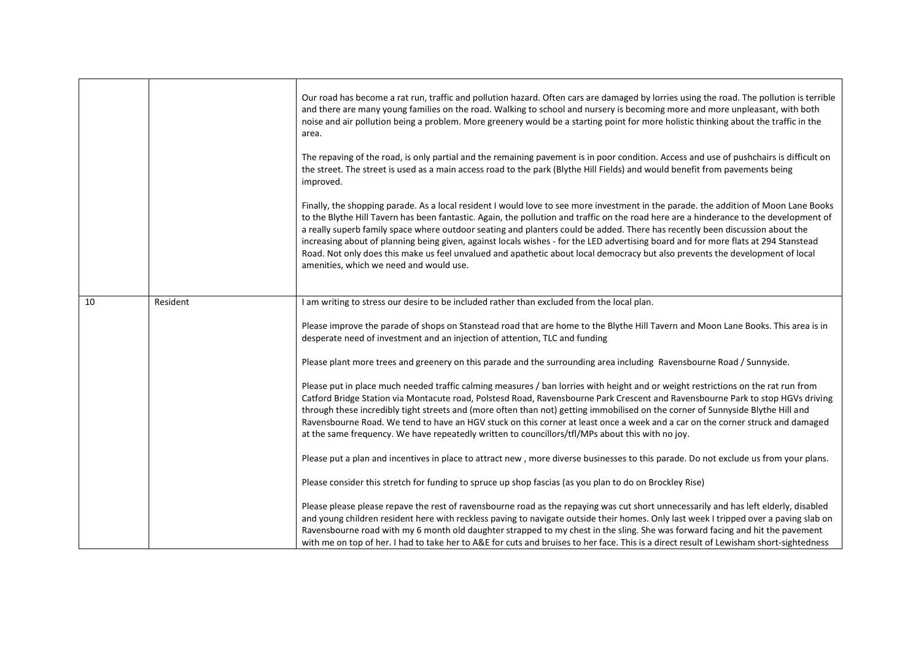|    |          | Our road has become a rat run, traffic and pollution hazard. Often cars are damaged by lorries using the road. The pollution is terrible<br>and there are many young families on the road. Walking to school and nursery is becoming more and more unpleasant, with both<br>noise and air pollution being a problem. More greenery would be a starting point for more holistic thinking about the traffic in the<br>area.<br>The repaving of the road, is only partial and the remaining pavement is in poor condition. Access and use of pushchairs is difficult on<br>the street. The street is used as a main access road to the park (Blythe Hill Fields) and would benefit from pavements being<br>improved.<br>Finally, the shopping parade. As a local resident I would love to see more investment in the parade. the addition of Moon Lane Books<br>to the Blythe Hill Tavern has been fantastic. Again, the pollution and traffic on the road here are a hinderance to the development of<br>a really superb family space where outdoor seating and planters could be added. There has recently been discussion about the<br>increasing about of planning being given, against locals wishes - for the LED advertising board and for more flats at 294 Stanstead<br>Road. Not only does this make us feel unvalued and apathetic about local democracy but also prevents the development of local<br>amenities, which we need and would use. |
|----|----------|--------------------------------------------------------------------------------------------------------------------------------------------------------------------------------------------------------------------------------------------------------------------------------------------------------------------------------------------------------------------------------------------------------------------------------------------------------------------------------------------------------------------------------------------------------------------------------------------------------------------------------------------------------------------------------------------------------------------------------------------------------------------------------------------------------------------------------------------------------------------------------------------------------------------------------------------------------------------------------------------------------------------------------------------------------------------------------------------------------------------------------------------------------------------------------------------------------------------------------------------------------------------------------------------------------------------------------------------------------------------------------------------------------------------------------------------------------|
| 10 | Resident | I am writing to stress our desire to be included rather than excluded from the local plan.<br>Please improve the parade of shops on Stanstead road that are home to the Blythe Hill Tavern and Moon Lane Books. This area is in<br>desperate need of investment and an injection of attention, TLC and funding<br>Please plant more trees and greenery on this parade and the surrounding area including Ravensbourne Road / Sunnyside.                                                                                                                                                                                                                                                                                                                                                                                                                                                                                                                                                                                                                                                                                                                                                                                                                                                                                                                                                                                                                |
|    |          | Please put in place much needed traffic calming measures / ban lorries with height and or weight restrictions on the rat run from<br>Catford Bridge Station via Montacute road, Polstesd Road, Ravensbourne Park Crescent and Ravensbourne Park to stop HGVs driving<br>through these incredibly tight streets and (more often than not) getting immobilised on the corner of Sunnyside Blythe Hill and<br>Ravensbourne Road. We tend to have an HGV stuck on this corner at least once a week and a car on the corner struck and damaged<br>at the same frequency. We have repeatedly written to councillors/tfl/MPs about this with no joy.                                                                                                                                                                                                                                                                                                                                                                                                                                                                                                                                                                                                                                                                                                                                                                                                          |
|    |          | Please put a plan and incentives in place to attract new, more diverse businesses to this parade. Do not exclude us from your plans.                                                                                                                                                                                                                                                                                                                                                                                                                                                                                                                                                                                                                                                                                                                                                                                                                                                                                                                                                                                                                                                                                                                                                                                                                                                                                                                   |
|    |          | Please consider this stretch for funding to spruce up shop fascias (as you plan to do on Brockley Rise)                                                                                                                                                                                                                                                                                                                                                                                                                                                                                                                                                                                                                                                                                                                                                                                                                                                                                                                                                                                                                                                                                                                                                                                                                                                                                                                                                |
|    |          | Please please please repave the rest of ravensbourne road as the repaying was cut short unnecessarily and has left elderly, disabled<br>and young children resident here with reckless paving to navigate outside their homes. Only last week I tripped over a paving slab on<br>Ravensbourne road with my 6 month old daughter strapped to my chest in the sling. She was forward facing and hit the pavement<br>with me on top of her. I had to take her to A&E for cuts and bruises to her face. This is a direct result of Lewisham short-sightedness                                                                                                                                                                                                                                                                                                                                                                                                                                                                                                                                                                                                                                                                                                                                                                                                                                                                                              |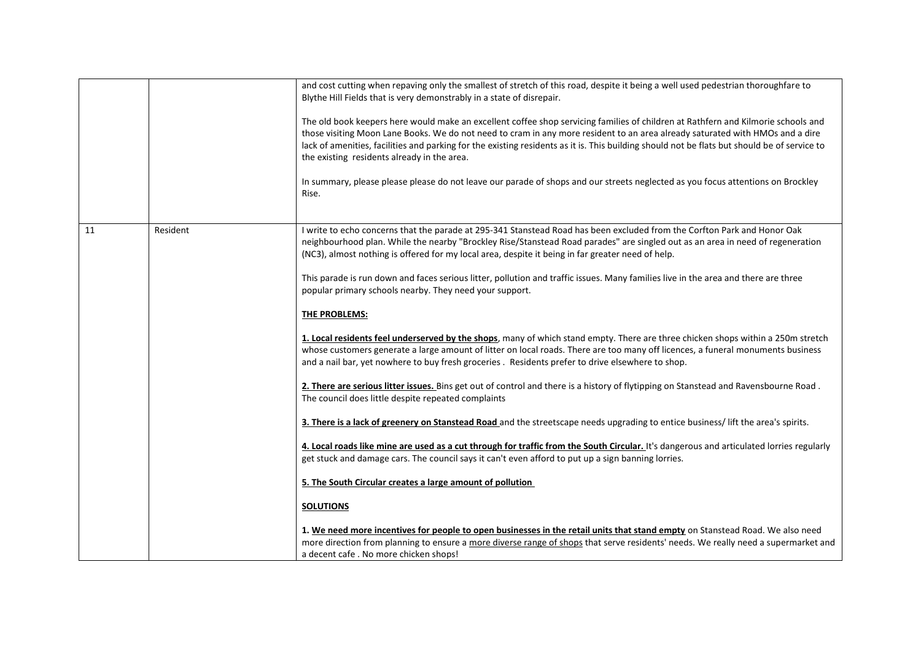|    |          | and cost cutting when repaving only the smallest of stretch of this road, despite it being a well used pedestrian thoroughfare to<br>Blythe Hill Fields that is very demonstrably in a state of disrepair.<br>The old book keepers here would make an excellent coffee shop servicing families of children at Rathfern and Kilmorie schools and<br>those visiting Moon Lane Books. We do not need to cram in any more resident to an area already saturated with HMOs and a dire<br>lack of amenities, facilities and parking for the existing residents as it is. This building should not be flats but should be of service to<br>the existing residents already in the area.<br>In summary, please please please do not leave our parade of shops and our streets neglected as you focus attentions on Brockley<br>Rise. |
|----|----------|-----------------------------------------------------------------------------------------------------------------------------------------------------------------------------------------------------------------------------------------------------------------------------------------------------------------------------------------------------------------------------------------------------------------------------------------------------------------------------------------------------------------------------------------------------------------------------------------------------------------------------------------------------------------------------------------------------------------------------------------------------------------------------------------------------------------------------|
| 11 | Resident | I write to echo concerns that the parade at 295-341 Stanstead Road has been excluded from the Corfton Park and Honor Oak<br>neighbourhood plan. While the nearby "Brockley Rise/Stanstead Road parades" are singled out as an area in need of regeneration<br>(NC3), almost nothing is offered for my local area, despite it being in far greater need of help.                                                                                                                                                                                                                                                                                                                                                                                                                                                             |
|    |          | This parade is run down and faces serious litter, pollution and traffic issues. Many families live in the area and there are three<br>popular primary schools nearby. They need your support.                                                                                                                                                                                                                                                                                                                                                                                                                                                                                                                                                                                                                               |
|    |          | <b>THE PROBLEMS:</b>                                                                                                                                                                                                                                                                                                                                                                                                                                                                                                                                                                                                                                                                                                                                                                                                        |
|    |          | 1. Local residents feel underserved by the shops, many of which stand empty. There are three chicken shops within a 250m stretch<br>whose customers generate a large amount of litter on local roads. There are too many off licences, a funeral monuments business<br>and a nail bar, yet nowhere to buy fresh groceries. Residents prefer to drive elsewhere to shop.                                                                                                                                                                                                                                                                                                                                                                                                                                                     |
|    |          | 2. There are serious litter issues. Bins get out of control and there is a history of flytipping on Stanstead and Ravensbourne Road.<br>The council does little despite repeated complaints                                                                                                                                                                                                                                                                                                                                                                                                                                                                                                                                                                                                                                 |
|    |          | 3. There is a lack of greenery on Stanstead Road and the streetscape needs upgrading to entice business/ lift the area's spirits.                                                                                                                                                                                                                                                                                                                                                                                                                                                                                                                                                                                                                                                                                           |
|    |          | 4. Local roads like mine are used as a cut through for traffic from the South Circular. It's dangerous and articulated lorries regularly<br>get stuck and damage cars. The council says it can't even afford to put up a sign banning lorries.                                                                                                                                                                                                                                                                                                                                                                                                                                                                                                                                                                              |
|    |          | 5. The South Circular creates a large amount of pollution                                                                                                                                                                                                                                                                                                                                                                                                                                                                                                                                                                                                                                                                                                                                                                   |
|    |          | <b>SOLUTIONS</b>                                                                                                                                                                                                                                                                                                                                                                                                                                                                                                                                                                                                                                                                                                                                                                                                            |
|    |          | 1. We need more incentives for people to open businesses in the retail units that stand empty on Stanstead Road. We also need<br>more direction from planning to ensure a more diverse range of shops that serve residents' needs. We really need a supermarket and<br>a decent cafe. No more chicken shops!                                                                                                                                                                                                                                                                                                                                                                                                                                                                                                                |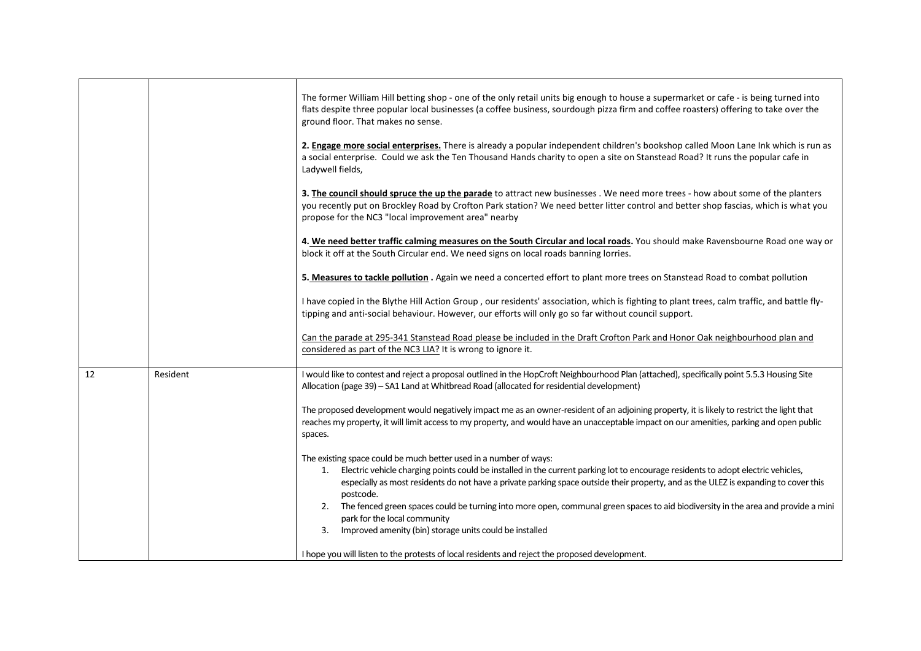|    |          | The former William Hill betting shop - one of the only retail units big enough to house a supermarket or cafe - is being turned into<br>flats despite three popular local businesses (a coffee business, sourdough pizza firm and coffee roasters) offering to take over the<br>ground floor. That makes no sense.                                                                                                                                                                                                                                                                                        |
|----|----------|-----------------------------------------------------------------------------------------------------------------------------------------------------------------------------------------------------------------------------------------------------------------------------------------------------------------------------------------------------------------------------------------------------------------------------------------------------------------------------------------------------------------------------------------------------------------------------------------------------------|
|    |          | 2. Engage more social enterprises. There is already a popular independent children's bookshop called Moon Lane Ink which is run as<br>a social enterprise. Could we ask the Ten Thousand Hands charity to open a site on Stanstead Road? It runs the popular cafe in<br>Ladywell fields,                                                                                                                                                                                                                                                                                                                  |
|    |          | 3. The council should spruce the up the parade to attract new businesses . We need more trees - how about some of the planters<br>you recently put on Brockley Road by Crofton Park station? We need better litter control and better shop fascias, which is what you<br>propose for the NC3 "local improvement area" nearby                                                                                                                                                                                                                                                                              |
|    |          | 4. We need better traffic calming measures on the South Circular and local roads. You should make Ravensbourne Road one way or<br>block it off at the South Circular end. We need signs on local roads banning lorries.                                                                                                                                                                                                                                                                                                                                                                                   |
|    |          | 5. Measures to tackle pollution . Again we need a concerted effort to plant more trees on Stanstead Road to combat pollution                                                                                                                                                                                                                                                                                                                                                                                                                                                                              |
|    |          | I have copied in the Blythe Hill Action Group, our residents' association, which is fighting to plant trees, calm traffic, and battle fly-<br>tipping and anti-social behaviour. However, our efforts will only go so far without council support.                                                                                                                                                                                                                                                                                                                                                        |
|    |          | Can the parade at 295-341 Stanstead Road please be included in the Draft Crofton Park and Honor Oak neighbourhood plan and<br>considered as part of the NC3 LIA? It is wrong to ignore it.                                                                                                                                                                                                                                                                                                                                                                                                                |
| 12 | Resident | I would like to contest and reject a proposal outlined in the HopCroft Neighbourhood Plan (attached), specifically point 5.5.3 Housing Site<br>Allocation (page 39) - SA1 Land at Whitbread Road (allocated for residential development)                                                                                                                                                                                                                                                                                                                                                                  |
|    |          | The proposed development would negatively impact me as an owner-resident of an adjoining property, it is likely to restrict the light that<br>reaches my property, it will limit access to my property, and would have an unacceptable impact on our amenities, parking and open public<br>spaces.                                                                                                                                                                                                                                                                                                        |
|    |          | The existing space could be much better used in a number of ways:<br>Electric vehicle charging points could be installed in the current parking lot to encourage residents to adopt electric vehicles,<br>1.<br>especially as most residents do not have a private parking space outside their property, and as the ULEZ is expanding to cover this<br>postcode.<br>2. The fenced green spaces could be turning into more open, communal green spaces to aid biodiversity in the area and provide a mini<br>park for the local community<br>Improved amenity (bin) storage units could be installed<br>3. |
|    |          | I hope you will listen to the protests of local residents and reject the proposed development.                                                                                                                                                                                                                                                                                                                                                                                                                                                                                                            |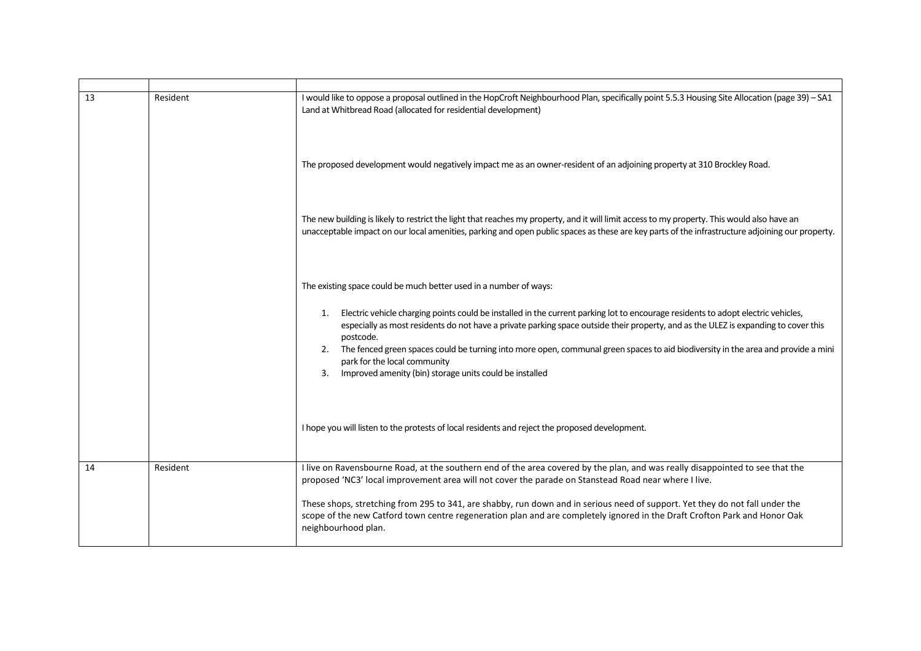| 13 | Resident | I would like to oppose a proposal outlined in the HopCroft Neighbourhood Plan, specifically point 5.5.3 Housing Site Allocation (page 39) - SA1<br>Land at Whitbread Road (allocated for residential development)                                                                                                                                                                                                                                                                                                                       |
|----|----------|-----------------------------------------------------------------------------------------------------------------------------------------------------------------------------------------------------------------------------------------------------------------------------------------------------------------------------------------------------------------------------------------------------------------------------------------------------------------------------------------------------------------------------------------|
|    |          | The proposed development would negatively impact me as an owner-resident of an adjoining property at 310 Brockley Road.                                                                                                                                                                                                                                                                                                                                                                                                                 |
|    |          | The new building is likely to restrict the light that reaches my property, and it will limit access to my property. This would also have an<br>unacceptable impact on our local amenities, parking and open public spaces as these are key parts of the infrastructure adjoining our property.                                                                                                                                                                                                                                          |
|    |          | The existing space could be much better used in a number of ways:                                                                                                                                                                                                                                                                                                                                                                                                                                                                       |
|    |          | Electric vehicle charging points could be installed in the current parking lot to encourage residents to adopt electric vehicles,<br>1.<br>especially as most residents do not have a private parking space outside their property, and as the ULEZ is expanding to cover this<br>postcode.<br>The fenced green spaces could be turning into more open, communal green spaces to aid biodiversity in the area and provide a mini<br>2.<br>park for the local community<br>Improved amenity (bin) storage units could be installed<br>3. |
|    |          | I hope you will listen to the protests of local residents and reject the proposed development.                                                                                                                                                                                                                                                                                                                                                                                                                                          |
| 14 | Resident | I live on Ravensbourne Road, at the southern end of the area covered by the plan, and was really disappointed to see that the                                                                                                                                                                                                                                                                                                                                                                                                           |
|    |          | proposed 'NC3' local improvement area will not cover the parade on Stanstead Road near where I live.<br>These shops, stretching from 295 to 341, are shabby, run down and in serious need of support. Yet they do not fall under the<br>scope of the new Catford town centre regeneration plan and are completely ignored in the Draft Crofton Park and Honor Oak<br>neighbourhood plan.                                                                                                                                                |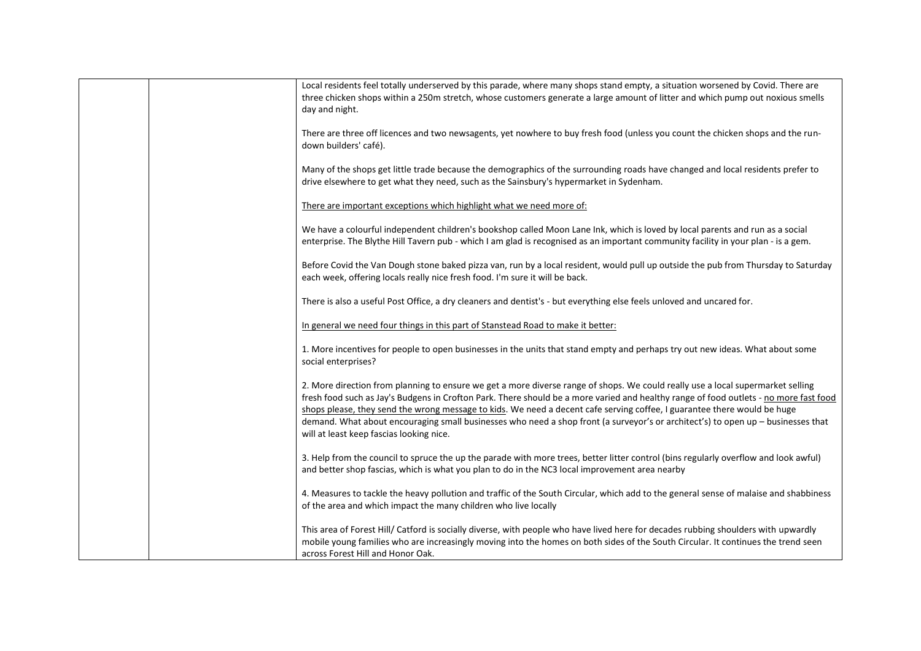|  | Local residents feel totally underserved by this parade, where many shops stand empty, a situation worsened by Covid. There are<br>three chicken shops within a 250m stretch, whose customers generate a large amount of litter and which pump out noxious smells<br>day and night.                                                                                                                                                                                                                                                                                                  |
|--|--------------------------------------------------------------------------------------------------------------------------------------------------------------------------------------------------------------------------------------------------------------------------------------------------------------------------------------------------------------------------------------------------------------------------------------------------------------------------------------------------------------------------------------------------------------------------------------|
|  | There are three off licences and two newsagents, yet nowhere to buy fresh food (unless you count the chicken shops and the run-<br>down builders' café).                                                                                                                                                                                                                                                                                                                                                                                                                             |
|  | Many of the shops get little trade because the demographics of the surrounding roads have changed and local residents prefer to<br>drive elsewhere to get what they need, such as the Sainsbury's hypermarket in Sydenham.                                                                                                                                                                                                                                                                                                                                                           |
|  | There are important exceptions which highlight what we need more of:                                                                                                                                                                                                                                                                                                                                                                                                                                                                                                                 |
|  | We have a colourful independent children's bookshop called Moon Lane Ink, which is loved by local parents and run as a social<br>enterprise. The Blythe Hill Tavern pub - which I am glad is recognised as an important community facility in your plan - is a gem.                                                                                                                                                                                                                                                                                                                  |
|  | Before Covid the Van Dough stone baked pizza van, run by a local resident, would pull up outside the pub from Thursday to Saturday<br>each week, offering locals really nice fresh food. I'm sure it will be back.                                                                                                                                                                                                                                                                                                                                                                   |
|  | There is also a useful Post Office, a dry cleaners and dentist's - but everything else feels unloved and uncared for.                                                                                                                                                                                                                                                                                                                                                                                                                                                                |
|  | In general we need four things in this part of Stanstead Road to make it better:                                                                                                                                                                                                                                                                                                                                                                                                                                                                                                     |
|  | 1. More incentives for people to open businesses in the units that stand empty and perhaps try out new ideas. What about some<br>social enterprises?                                                                                                                                                                                                                                                                                                                                                                                                                                 |
|  | 2. More direction from planning to ensure we get a more diverse range of shops. We could really use a local supermarket selling<br>fresh food such as Jay's Budgens in Crofton Park. There should be a more varied and healthy range of food outlets - no more fast food<br>shops please, they send the wrong message to kids. We need a decent cafe serving coffee, I guarantee there would be huge<br>demand. What about encouraging small businesses who need a shop front (a surveyor's or architect's) to open up - businesses that<br>will at least keep fascias looking nice. |
|  | 3. Help from the council to spruce the up the parade with more trees, better litter control (bins regularly overflow and look awful)<br>and better shop fascias, which is what you plan to do in the NC3 local improvement area nearby                                                                                                                                                                                                                                                                                                                                               |
|  | 4. Measures to tackle the heavy pollution and traffic of the South Circular, which add to the general sense of malaise and shabbiness<br>of the area and which impact the many children who live locally                                                                                                                                                                                                                                                                                                                                                                             |
|  | This area of Forest Hill/ Catford is socially diverse, with people who have lived here for decades rubbing shoulders with upwardly<br>mobile young families who are increasingly moving into the homes on both sides of the South Circular. It continues the trend seen<br>across Forest Hill and Honor Oak.                                                                                                                                                                                                                                                                         |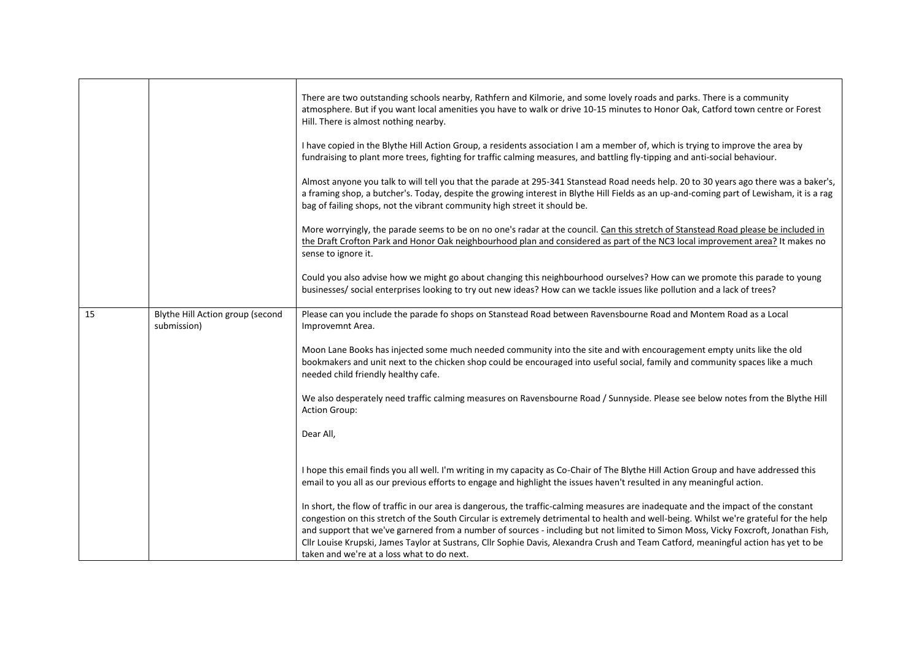|    |                                                 | There are two outstanding schools nearby, Rathfern and Kilmorie, and some lovely roads and parks. There is a community<br>atmosphere. But if you want local amenities you have to walk or drive 10-15 minutes to Honor Oak, Catford town centre or Forest<br>Hill. There is almost nothing nearby.<br>I have copied in the Blythe Hill Action Group, a residents association I am a member of, which is trying to improve the area by<br>fundraising to plant more trees, fighting for traffic calming measures, and battling fly-tipping and anti-social behaviour.<br>Almost anyone you talk to will tell you that the parade at 295-341 Stanstead Road needs help. 20 to 30 years ago there was a baker's,<br>a framing shop, a butcher's. Today, despite the growing interest in Blythe Hill Fields as an up-and-coming part of Lewisham, it is a rag<br>bag of failing shops, not the vibrant community high street it should be. |
|----|-------------------------------------------------|----------------------------------------------------------------------------------------------------------------------------------------------------------------------------------------------------------------------------------------------------------------------------------------------------------------------------------------------------------------------------------------------------------------------------------------------------------------------------------------------------------------------------------------------------------------------------------------------------------------------------------------------------------------------------------------------------------------------------------------------------------------------------------------------------------------------------------------------------------------------------------------------------------------------------------------|
|    |                                                 | More worryingly, the parade seems to be on no one's radar at the council. Can this stretch of Stanstead Road please be included in<br>the Draft Crofton Park and Honor Oak neighbourhood plan and considered as part of the NC3 local improvement area? It makes no<br>sense to ignore it.                                                                                                                                                                                                                                                                                                                                                                                                                                                                                                                                                                                                                                             |
|    |                                                 | Could you also advise how we might go about changing this neighbourhood ourselves? How can we promote this parade to young<br>businesses/ social enterprises looking to try out new ideas? How can we tackle issues like pollution and a lack of trees?                                                                                                                                                                                                                                                                                                                                                                                                                                                                                                                                                                                                                                                                                |
| 15 | Blythe Hill Action group (second<br>submission) | Please can you include the parade fo shops on Stanstead Road between Ravensbourne Road and Montem Road as a Local<br>Improvemnt Area.                                                                                                                                                                                                                                                                                                                                                                                                                                                                                                                                                                                                                                                                                                                                                                                                  |
|    |                                                 | Moon Lane Books has injected some much needed community into the site and with encouragement empty units like the old<br>bookmakers and unit next to the chicken shop could be encouraged into useful social, family and community spaces like a much<br>needed child friendly healthy cafe.                                                                                                                                                                                                                                                                                                                                                                                                                                                                                                                                                                                                                                           |
|    |                                                 | We also desperately need traffic calming measures on Ravensbourne Road / Sunnyside. Please see below notes from the Blythe Hill<br><b>Action Group:</b>                                                                                                                                                                                                                                                                                                                                                                                                                                                                                                                                                                                                                                                                                                                                                                                |
|    |                                                 | Dear All,                                                                                                                                                                                                                                                                                                                                                                                                                                                                                                                                                                                                                                                                                                                                                                                                                                                                                                                              |
|    |                                                 | I hope this email finds you all well. I'm writing in my capacity as Co-Chair of The Blythe Hill Action Group and have addressed this<br>email to you all as our previous efforts to engage and highlight the issues haven't resulted in any meaningful action.                                                                                                                                                                                                                                                                                                                                                                                                                                                                                                                                                                                                                                                                         |
|    |                                                 | In short, the flow of traffic in our area is dangerous, the traffic-calming measures are inadequate and the impact of the constant<br>congestion on this stretch of the South Circular is extremely detrimental to health and well-being. Whilst we're grateful for the help<br>and support that we've garnered from a number of sources - including but not limited to Simon Moss, Vicky Foxcroft, Jonathan Fish,<br>Cllr Louise Krupski, James Taylor at Sustrans, Cllr Sophie Davis, Alexandra Crush and Team Catford, meaningful action has yet to be<br>taken and we're at a loss what to do next.                                                                                                                                                                                                                                                                                                                                |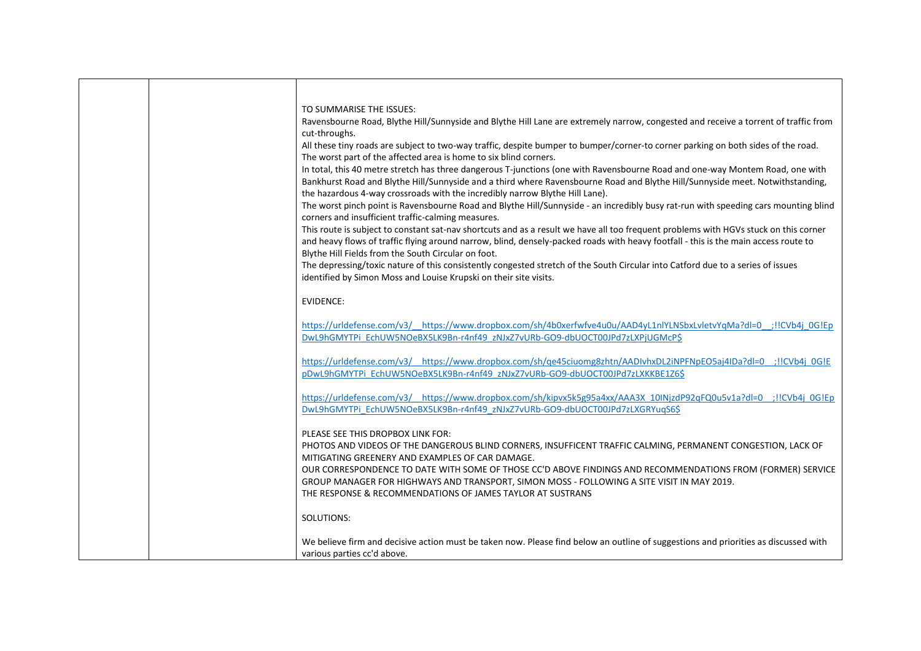|  | TO SUMMARISE THE ISSUES:<br>Ravensbourne Road, Blythe Hill/Sunnyside and Blythe Hill Lane are extremely narrow, congested and receive a torrent of traffic from<br>cut-throughs.<br>All these tiny roads are subject to two-way traffic, despite bumper to bumper/corner-to corner parking on both sides of the road.<br>The worst part of the affected area is home to six blind corners.<br>In total, this 40 metre stretch has three dangerous T-junctions (one with Ravensbourne Road and one-way Montem Road, one with<br>Bankhurst Road and Blythe Hill/Sunnyside and a third where Ravensbourne Road and Blythe Hill/Sunnyside meet. Notwithstanding,<br>the hazardous 4-way crossroads with the incredibly narrow Blythe Hill Lane).<br>The worst pinch point is Ravensbourne Road and Blythe Hill/Sunnyside - an incredibly busy rat-run with speeding cars mounting blind<br>corners and insufficient traffic-calming measures.<br>This route is subject to constant sat-nav shortcuts and as a result we have all too frequent problems with HGVs stuck on this corner<br>and heavy flows of traffic flying around narrow, blind, densely-packed roads with heavy footfall - this is the main access route to<br>Blythe Hill Fields from the South Circular on foot.<br>The depressing/toxic nature of this consistently congested stretch of the South Circular into Catford due to a series of issues<br>identified by Simon Moss and Louise Krupski on their site visits. |
|--|-----------------------------------------------------------------------------------------------------------------------------------------------------------------------------------------------------------------------------------------------------------------------------------------------------------------------------------------------------------------------------------------------------------------------------------------------------------------------------------------------------------------------------------------------------------------------------------------------------------------------------------------------------------------------------------------------------------------------------------------------------------------------------------------------------------------------------------------------------------------------------------------------------------------------------------------------------------------------------------------------------------------------------------------------------------------------------------------------------------------------------------------------------------------------------------------------------------------------------------------------------------------------------------------------------------------------------------------------------------------------------------------------------------------------------------------------------------------------------------------|
|  | <b>EVIDENCE:</b>                                                                                                                                                                                                                                                                                                                                                                                                                                                                                                                                                                                                                                                                                                                                                                                                                                                                                                                                                                                                                                                                                                                                                                                                                                                                                                                                                                                                                                                                        |
|  | https://urldefense.com/v3/ https://www.dropbox.com/sh/4b0xerfwfve4u0u/AAD4yL1nlYLNSbxLvletvYqMa?dl=0 ;!!CVb4j 0G!Ep<br>DwL9hGMYTPi EchUW5NOeBX5LK9Bn-r4nf49 zNJxZ7vURb-GO9-dbUOCT00JPd7zLXPjUGMcP\$                                                                                                                                                                                                                                                                                                                                                                                                                                                                                                                                                                                                                                                                                                                                                                                                                                                                                                                                                                                                                                                                                                                                                                                                                                                                                     |
|  | https://urldefense.com/v3/ https://www.dropbox.com/sh/qe45ciuomg8zhtn/AADlvhxDL2iNPFNpEO5aj4IDa?dl=0 ;!!CVb4j 0G!E<br>pDwL9hGMYTPi EchUW5NOeBX5LK9Bn-r4nf49 zNJxZ7vURb-GO9-dbUOCT00JPd7zLXKKBE1Z6\$                                                                                                                                                                                                                                                                                                                                                                                                                                                                                                                                                                                                                                                                                                                                                                                                                                                                                                                                                                                                                                                                                                                                                                                                                                                                                     |
|  | https://urldefense.com/v3/ https://www.dropbox.com/sh/kipvx5k5g95a4xx/AAA3X 10INjzdP92qFQ0u5v1a?dl=0 ;!!CVb4j 0G!Ep<br>DwL9hGMYTPi EchUW5NOeBX5LK9Bn-r4nf49 zNJxZ7vURb-GO9-dbUOCT00JPd7zLXGRYuqS6\$                                                                                                                                                                                                                                                                                                                                                                                                                                                                                                                                                                                                                                                                                                                                                                                                                                                                                                                                                                                                                                                                                                                                                                                                                                                                                     |
|  | PLEASE SEE THIS DROPBOX LINK FOR:<br>PHOTOS AND VIDEOS OF THE DANGEROUS BLIND CORNERS, INSUFFICENT TRAFFIC CALMING, PERMANENT CONGESTION, LACK OF<br>MITIGATING GREENERY AND EXAMPLES OF CAR DAMAGE.<br>OUR CORRESPONDENCE TO DATE WITH SOME OF THOSE CC'D ABOVE FINDINGS AND RECOMMENDATIONS FROM (FORMER) SERVICE<br>GROUP MANAGER FOR HIGHWAYS AND TRANSPORT, SIMON MOSS - FOLLOWING A SITE VISIT IN MAY 2019.<br>THE RESPONSE & RECOMMENDATIONS OF JAMES TAYLOR AT SUSTRANS                                                                                                                                                                                                                                                                                                                                                                                                                                                                                                                                                                                                                                                                                                                                                                                                                                                                                                                                                                                                         |
|  | SOLUTIONS:                                                                                                                                                                                                                                                                                                                                                                                                                                                                                                                                                                                                                                                                                                                                                                                                                                                                                                                                                                                                                                                                                                                                                                                                                                                                                                                                                                                                                                                                              |
|  | We believe firm and decisive action must be taken now. Please find below an outline of suggestions and priorities as discussed with<br>various parties cc'd above.                                                                                                                                                                                                                                                                                                                                                                                                                                                                                                                                                                                                                                                                                                                                                                                                                                                                                                                                                                                                                                                                                                                                                                                                                                                                                                                      |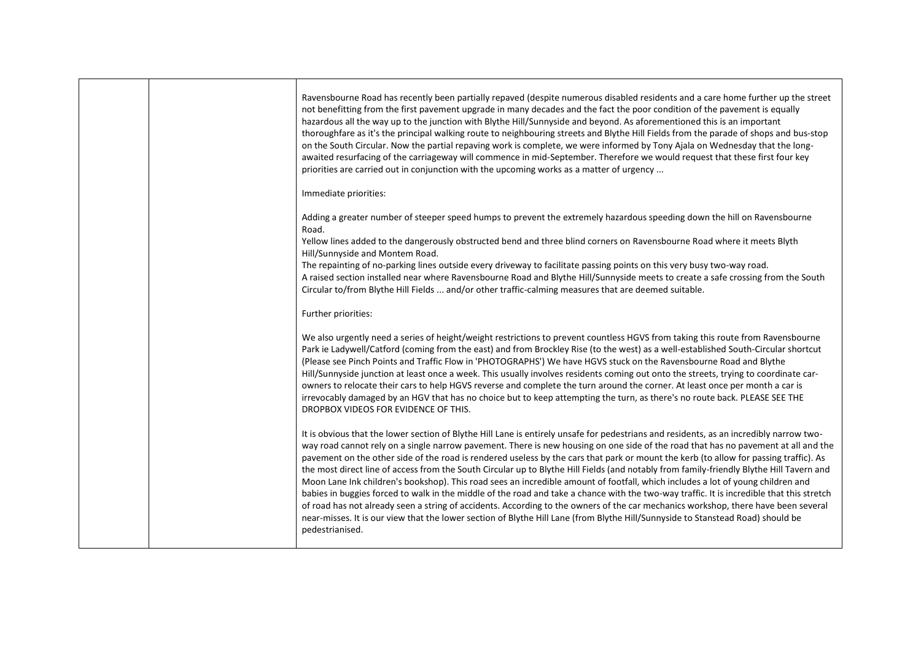|  | Ravensbourne Road has recently been partially repaved (despite numerous disabled residents and a care home further up the street<br>not benefitting from the first pavement upgrade in many decades and the fact the poor condition of the pavement is equally<br>hazardous all the way up to the junction with Blythe Hill/Sunnyside and beyond. As aforementioned this is an important<br>thoroughfare as it's the principal walking route to neighbouring streets and Blythe Hill Fields from the parade of shops and bus-stop<br>on the South Circular. Now the partial repaving work is complete, we were informed by Tony Ajala on Wednesday that the long-<br>awaited resurfacing of the carriageway will commence in mid-September. Therefore we would request that these first four key<br>priorities are carried out in conjunction with the upcoming works as a matter of urgency                                                                                                                                                                                                                                                   |
|--|------------------------------------------------------------------------------------------------------------------------------------------------------------------------------------------------------------------------------------------------------------------------------------------------------------------------------------------------------------------------------------------------------------------------------------------------------------------------------------------------------------------------------------------------------------------------------------------------------------------------------------------------------------------------------------------------------------------------------------------------------------------------------------------------------------------------------------------------------------------------------------------------------------------------------------------------------------------------------------------------------------------------------------------------------------------------------------------------------------------------------------------------|
|  | Immediate priorities:                                                                                                                                                                                                                                                                                                                                                                                                                                                                                                                                                                                                                                                                                                                                                                                                                                                                                                                                                                                                                                                                                                                          |
|  | Adding a greater number of steeper speed humps to prevent the extremely hazardous speeding down the hill on Ravensbourne<br>Road.                                                                                                                                                                                                                                                                                                                                                                                                                                                                                                                                                                                                                                                                                                                                                                                                                                                                                                                                                                                                              |
|  | Yellow lines added to the dangerously obstructed bend and three blind corners on Ravensbourne Road where it meets Blyth<br>Hill/Sunnyside and Montem Road.<br>The repainting of no-parking lines outside every driveway to facilitate passing points on this very busy two-way road.<br>A raised section installed near where Ravensbourne Road and Blythe Hill/Sunnyside meets to create a safe crossing from the South                                                                                                                                                                                                                                                                                                                                                                                                                                                                                                                                                                                                                                                                                                                       |
|  | Circular to/from Blythe Hill Fields  and/or other traffic-calming measures that are deemed suitable.                                                                                                                                                                                                                                                                                                                                                                                                                                                                                                                                                                                                                                                                                                                                                                                                                                                                                                                                                                                                                                           |
|  | Further priorities:                                                                                                                                                                                                                                                                                                                                                                                                                                                                                                                                                                                                                                                                                                                                                                                                                                                                                                                                                                                                                                                                                                                            |
|  | We also urgently need a series of height/weight restrictions to prevent countless HGVS from taking this route from Ravensbourne<br>Park ie Ladywell/Catford (coming from the east) and from Brockley Rise (to the west) as a well-established South-Circular shortcut<br>(Please see Pinch Points and Traffic Flow in 'PHOTOGRAPHS') We have HGVS stuck on the Ravensbourne Road and Blythe<br>Hill/Sunnyside junction at least once a week. This usually involves residents coming out onto the streets, trying to coordinate car-<br>owners to relocate their cars to help HGVS reverse and complete the turn around the corner. At least once per month a car is<br>irrevocably damaged by an HGV that has no choice but to keep attempting the turn, as there's no route back. PLEASE SEE THE<br>DROPBOX VIDEOS FOR EVIDENCE OF THIS.                                                                                                                                                                                                                                                                                                      |
|  | It is obvious that the lower section of Blythe Hill Lane is entirely unsafe for pedestrians and residents, as an incredibly narrow two-<br>way road cannot rely on a single narrow pavement. There is new housing on one side of the road that has no pavement at all and the<br>pavement on the other side of the road is rendered useless by the cars that park or mount the kerb (to allow for passing traffic). As<br>the most direct line of access from the South Circular up to Blythe Hill Fields (and notably from family-friendly Blythe Hill Tavern and<br>Moon Lane Ink children's bookshop). This road sees an incredible amount of footfall, which includes a lot of young children and<br>babies in buggies forced to walk in the middle of the road and take a chance with the two-way traffic. It is incredible that this stretch<br>of road has not already seen a string of accidents. According to the owners of the car mechanics workshop, there have been several<br>near-misses. It is our view that the lower section of Blythe Hill Lane (from Blythe Hill/Sunnyside to Stanstead Road) should be<br>pedestrianised. |
|  |                                                                                                                                                                                                                                                                                                                                                                                                                                                                                                                                                                                                                                                                                                                                                                                                                                                                                                                                                                                                                                                                                                                                                |